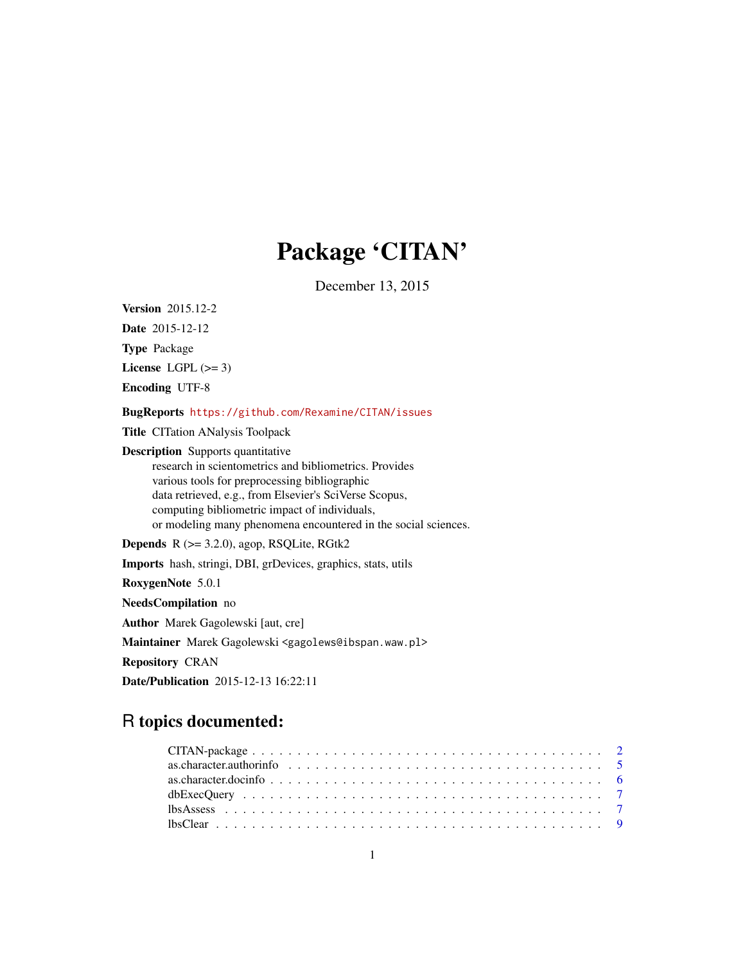# Package 'CITAN'

December 13, 2015

<span id="page-0-0"></span>Version 2015.12-2

Date 2015-12-12

Type Package

License LGPL  $(>= 3)$ 

Encoding UTF-8

BugReports <https://github.com/Rexamine/CITAN/issues>

Title CITation ANalysis Toolpack

Description Supports quantitative

research in scientometrics and bibliometrics. Provides various tools for preprocessing bibliographic data retrieved, e.g., from Elsevier's SciVerse Scopus, computing bibliometric impact of individuals, or modeling many phenomena encountered in the social sciences.

**Depends**  $R$  ( $>= 3.2.0$ ), agop, RSQLite, RGtk2

Imports hash, stringi, DBI, grDevices, graphics, stats, utils

RoxygenNote 5.0.1

NeedsCompilation no

Author Marek Gagolewski [aut, cre]

Maintainer Marek Gagolewski <gagolews@ibspan.waw.pl>

Repository CRAN

Date/Publication 2015-12-13 16:22:11

# R topics documented: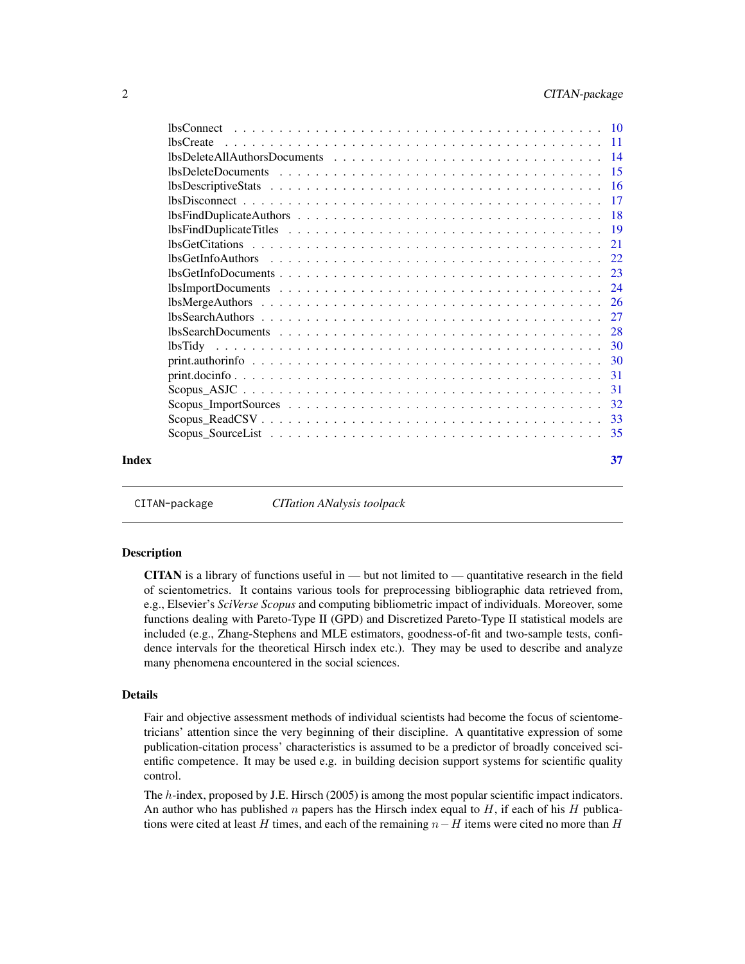<span id="page-1-0"></span>

|       | <b>lbsCreate</b> |    |
|-------|------------------|----|
|       |                  |    |
|       |                  |    |
|       |                  |    |
|       |                  |    |
|       |                  |    |
|       |                  |    |
|       |                  |    |
|       |                  |    |
|       |                  |    |
|       |                  |    |
|       |                  |    |
|       |                  |    |
|       |                  |    |
|       |                  |    |
|       |                  |    |
|       |                  |    |
|       |                  |    |
|       |                  |    |
|       |                  |    |
|       |                  |    |
| Index |                  | 37 |

CITAN-package *CITation ANalysis toolpack*

#### **Description**

CITAN is a library of functions useful in — but not limited to — quantitative research in the field of scientometrics. It contains various tools for preprocessing bibliographic data retrieved from, e.g., Elsevier's *SciVerse Scopus* and computing bibliometric impact of individuals. Moreover, some functions dealing with Pareto-Type II (GPD) and Discretized Pareto-Type II statistical models are included (e.g., Zhang-Stephens and MLE estimators, goodness-of-fit and two-sample tests, confidence intervals for the theoretical Hirsch index etc.). They may be used to describe and analyze many phenomena encountered in the social sciences.

# Details

Fair and objective assessment methods of individual scientists had become the focus of scientometricians' attention since the very beginning of their discipline. A quantitative expression of some publication-citation process' characteristics is assumed to be a predictor of broadly conceived scientific competence. It may be used e.g. in building decision support systems for scientific quality control.

The h-index, proposed by J.E. Hirsch (2005) is among the most popular scientific impact indicators. An author who has published n papers has the Hirsch index equal to  $H$ , if each of his  $H$  publications were cited at least H times, and each of the remaining  $n-H$  items were cited no more than H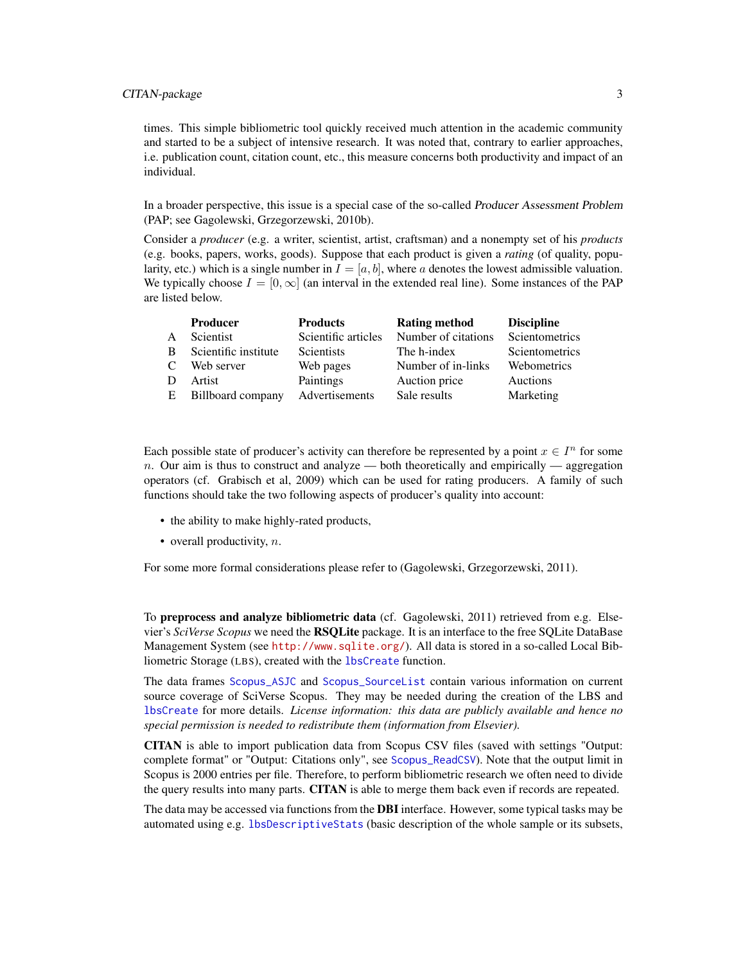# <span id="page-2-0"></span>CITAN-package 3

times. This simple bibliometric tool quickly received much attention in the academic community and started to be a subject of intensive research. It was noted that, contrary to earlier approaches, i.e. publication count, citation count, etc., this measure concerns both productivity and impact of an individual.

In a broader perspective, this issue is a special case of the so-called Producer Assessment Problem (PAP; see Gagolewski, Grzegorzewski, 2010b).

Consider a *producer* (e.g. a writer, scientist, artist, craftsman) and a nonempty set of his *products* (e.g. books, papers, works, goods). Suppose that each product is given a *rating* (of quality, popularity, etc.) which is a single number in  $I = [a, b]$ , where a denotes the lowest admissible valuation. We typically choose  $I = [0, \infty]$  (an interval in the extended real line). Some instances of the PAP are listed below.

|              | <b>Producer</b>      | <b>Products</b>     | <b>Rating method</b> | <b>Discipline</b> |
|--------------|----------------------|---------------------|----------------------|-------------------|
| $\mathsf{A}$ | Scientist            | Scientific articles | Number of citations  | Scientometrics    |
| <sup>B</sup> | Scientific institute | Scientists          | The h-index          | Scientometrics    |
| C            | Web server           | Web pages           | Number of in-links   | Webometrics       |
| D            | Artist               | Paintings           | Auction price        | Auctions          |
| E            | Billboard company    | Advertisements      | Sale results         | Marketing         |

Each possible state of producer's activity can therefore be represented by a point  $x \in I^n$  for some n. Our aim is thus to construct and analyze — both theoretically and empirically — aggregation operators (cf. Grabisch et al, 2009) which can be used for rating producers. A family of such functions should take the two following aspects of producer's quality into account:

- the ability to make highly-rated products,
- overall productivity,  $n$ .

For some more formal considerations please refer to (Gagolewski, Grzegorzewski, 2011).

To preprocess and analyze bibliometric data (cf. Gagolewski, 2011) retrieved from e.g. Elsevier's *SciVerse Scopus* we need the RSQLite package. It is an interface to the free SQLite DataBase Management System (see <http://www.sqlite.org/>). All data is stored in a so-called Local Bibliometric Storage (LBS), created with the [lbsCreate](#page-10-1) function.

The data frames [Scopus\\_ASJC](#page-30-1) and [Scopus\\_SourceList](#page-34-1) contain various information on current source coverage of SciVerse Scopus. They may be needed during the creation of the LBS and [lbsCreate](#page-10-1) for more details. *License information: this data are publicly available and hence no special permission is needed to redistribute them (information from Elsevier).*

CITAN is able to import publication data from Scopus CSV files (saved with settings "Output: complete format" or "Output: Citations only", see [Scopus\\_ReadCSV](#page-32-1)). Note that the output limit in Scopus is 2000 entries per file. Therefore, to perform bibliometric research we often need to divide the query results into many parts. CITAN is able to merge them back even if records are repeated.

The data may be accessed via functions from the **DBI** interface. However, some typical tasks may be automated using e.g. [lbsDescriptiveStats](#page-15-1) (basic description of the whole sample or its subsets,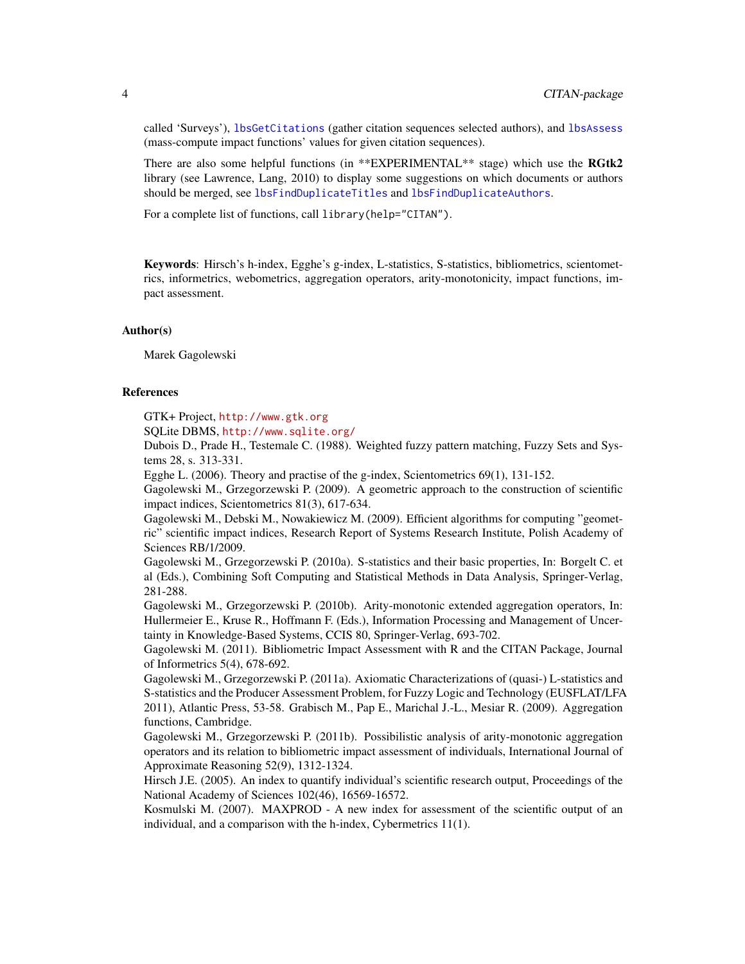<span id="page-3-0"></span>called 'Surveys'), [lbsGetCitations](#page-20-1) (gather citation sequences selected authors), and [lbsAssess](#page-6-1) (mass-compute impact functions' values for given citation sequences).

There are also some helpful functions (in \*\*EXPERIMENTAL\*\* stage) which use the  $RGtk2$ library (see Lawrence, Lang, 2010) to display some suggestions on which documents or authors should be merged, see [lbsFindDuplicateTitles](#page-18-1) and [lbsFindDuplicateAuthors](#page-17-1).

For a complete list of functions, call library(help="CITAN").

Keywords: Hirsch's h-index, Egghe's g-index, L-statistics, S-statistics, bibliometrics, scientometrics, informetrics, webometrics, aggregation operators, arity-monotonicity, impact functions, impact assessment.

#### Author(s)

Marek Gagolewski

#### References

GTK+ Project, <http://www.gtk.org>

SQLite DBMS, <http://www.sqlite.org/>

Dubois D., Prade H., Testemale C. (1988). Weighted fuzzy pattern matching, Fuzzy Sets and Systems 28, s. 313-331.

Egghe L. (2006). Theory and practise of the g-index, Scientometrics 69(1), 131-152.

Gagolewski M., Grzegorzewski P. (2009). A geometric approach to the construction of scientific impact indices, Scientometrics 81(3), 617-634.

Gagolewski M., Debski M., Nowakiewicz M. (2009). Efficient algorithms for computing "geometric" scientific impact indices, Research Report of Systems Research Institute, Polish Academy of Sciences RB/1/2009.

Gagolewski M., Grzegorzewski P. (2010a). S-statistics and their basic properties, In: Borgelt C. et al (Eds.), Combining Soft Computing and Statistical Methods in Data Analysis, Springer-Verlag, 281-288.

Gagolewski M., Grzegorzewski P. (2010b). Arity-monotonic extended aggregation operators, In: Hullermeier E., Kruse R., Hoffmann F. (Eds.), Information Processing and Management of Uncertainty in Knowledge-Based Systems, CCIS 80, Springer-Verlag, 693-702.

Gagolewski M. (2011). Bibliometric Impact Assessment with R and the CITAN Package, Journal of Informetrics 5(4), 678-692.

Gagolewski M., Grzegorzewski P. (2011a). Axiomatic Characterizations of (quasi-) L-statistics and S-statistics and the Producer Assessment Problem, for Fuzzy Logic and Technology (EUSFLAT/LFA 2011), Atlantic Press, 53-58. Grabisch M., Pap E., Marichal J.-L., Mesiar R. (2009). Aggregation functions, Cambridge.

Gagolewski M., Grzegorzewski P. (2011b). Possibilistic analysis of arity-monotonic aggregation operators and its relation to bibliometric impact assessment of individuals, International Journal of Approximate Reasoning 52(9), 1312-1324.

Hirsch J.E. (2005). An index to quantify individual's scientific research output, Proceedings of the National Academy of Sciences 102(46), 16569-16572.

Kosmulski M. (2007). MAXPROD - A new index for assessment of the scientific output of an individual, and a comparison with the h-index, Cybermetrics 11(1).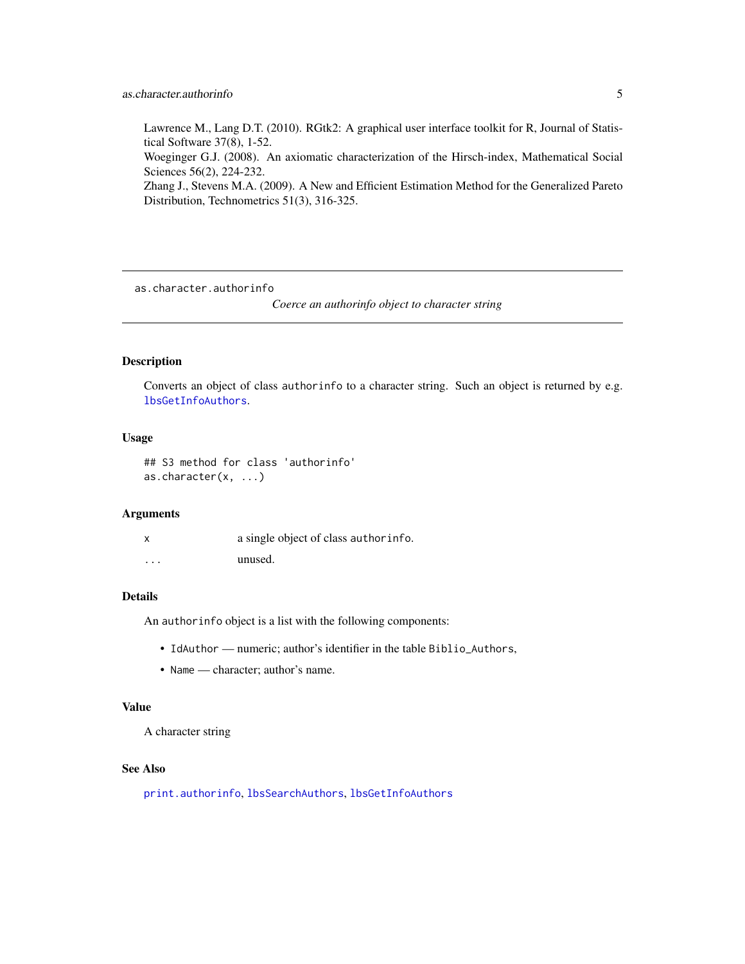# <span id="page-4-0"></span>as.character.authorinfo 5

Lawrence M., Lang D.T. (2010). RGtk2: A graphical user interface toolkit for R, Journal of Statistical Software 37(8), 1-52.

Woeginger G.J. (2008). An axiomatic characterization of the Hirsch-index, Mathematical Social Sciences 56(2), 224-232.

Zhang J., Stevens M.A. (2009). A New and Efficient Estimation Method for the Generalized Pareto Distribution, Technometrics 51(3), 316-325.

<span id="page-4-1"></span>as.character.authorinfo

*Coerce an authorinfo object to character string*

# Description

Converts an object of class authorinfo to a character string. Such an object is returned by e.g. [lbsGetInfoAuthors](#page-21-1).

# Usage

## S3 method for class 'authorinfo' as.character(x, ...)

#### Arguments

|          | a single object of class authorinfo. |  |
|----------|--------------------------------------|--|
| $\cdots$ | unused.                              |  |

# Details

An authorinfo object is a list with the following components:

- IdAuthor numeric; author's identifier in the table Biblio\_Authors,
- Name character; author's name.

#### Value

A character string

#### See Also

[print.authorinfo](#page-29-1), [lbsSearchAuthors](#page-26-1), [lbsGetInfoAuthors](#page-21-1)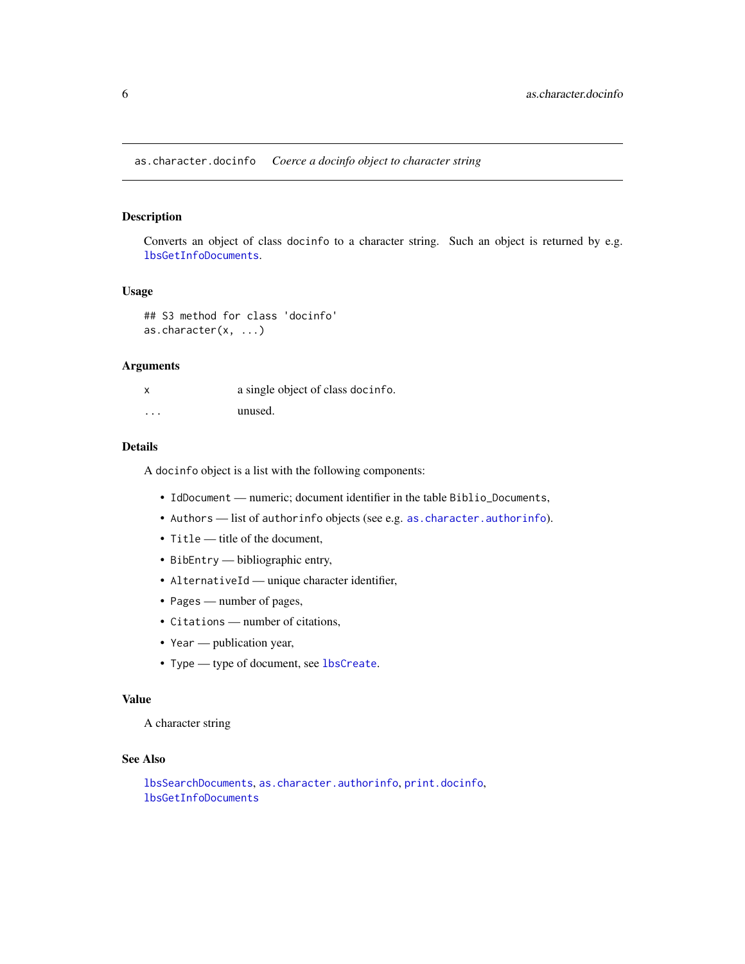<span id="page-5-1"></span><span id="page-5-0"></span>as.character.docinfo *Coerce a docinfo object to character string*

# Description

Converts an object of class docinfo to a character string. Such an object is returned by e.g. [lbsGetInfoDocuments](#page-22-1).

#### Usage

```
## S3 method for class 'docinfo'
as.character(x, ...)
```
#### Arguments

| X        | a single object of class docinfo. |
|----------|-----------------------------------|
| $\cdots$ | unused.                           |

# Details

A docinfo object is a list with the following components:

- IdDocument numeric; document identifier in the table Biblio\_Documents,
- Authors list of authorinfo objects (see e.g. as. character. authorinfo).
- Title title of the document,
- BibEntry bibliographic entry,
- AlternativeId unique character identifier,
- Pages number of pages,
- Citations number of citations,
- Year publication year,
- Type type of document, see [lbsCreate](#page-10-1).

#### Value

A character string

# See Also

[lbsSearchDocuments](#page-27-1), [as.character.authorinfo](#page-4-1), [print.docinfo](#page-30-2), [lbsGetInfoDocuments](#page-22-1)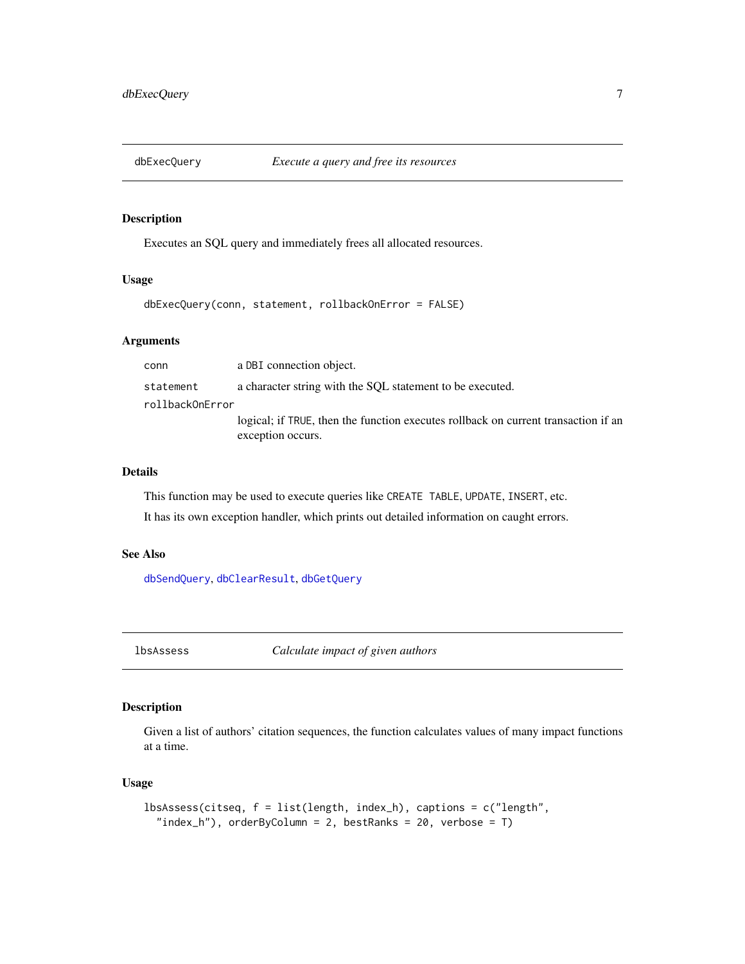<span id="page-6-0"></span>

# Description

Executes an SQL query and immediately frees all allocated resources.

# Usage

dbExecQuery(conn, statement, rollbackOnError = FALSE)

# Arguments

| conn            | a DBI connection object.                                                                                |
|-----------------|---------------------------------------------------------------------------------------------------------|
| statement       | a character string with the SOL statement to be executed.                                               |
| rollbackOnError |                                                                                                         |
|                 | logical; if TRUE, then the function executes rollback on current transaction if an<br>exception occurs. |

# Details

This function may be used to execute queries like CREATE TABLE, UPDATE, INSERT, etc.

It has its own exception handler, which prints out detailed information on caught errors.

# See Also

[dbSendQuery](#page-0-0), [dbClearResult](#page-0-0), [dbGetQuery](#page-0-0)

<span id="page-6-1"></span>lbsAssess *Calculate impact of given authors*

# Description

Given a list of authors' citation sequences, the function calculates values of many impact functions at a time.

#### Usage

```
lbsAssess(citseq, f = list(length, index_h), captions = c("length",
  "index_h"), orderByColumn = 2, bestRanks = 20, verbose = T)
```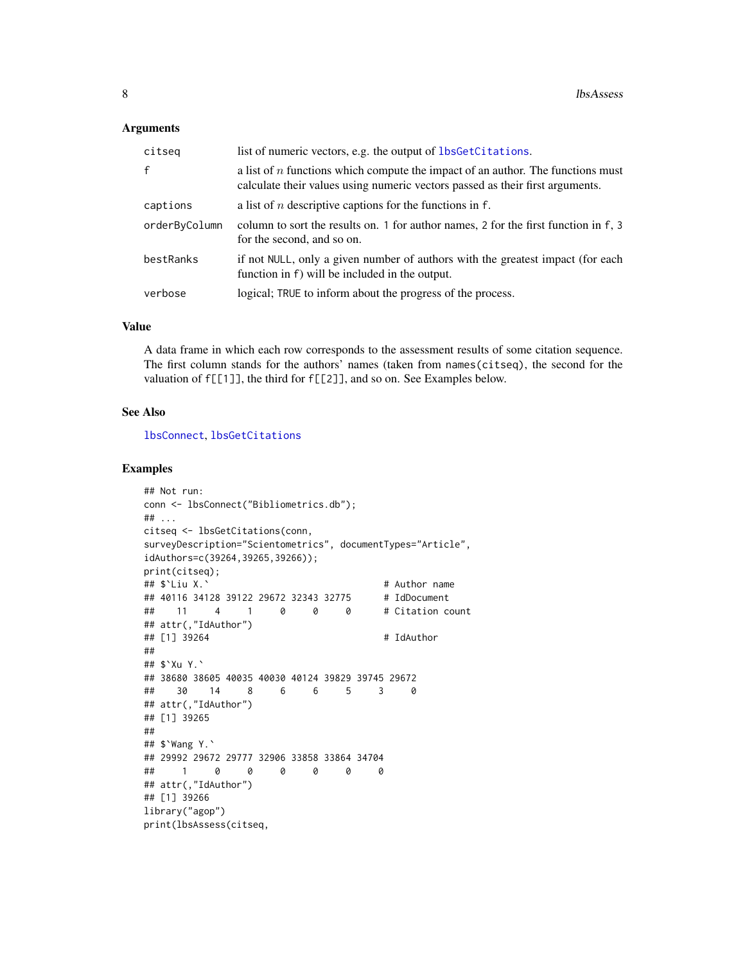<span id="page-7-0"></span>

| citseq        | list of numeric vectors, e.g. the output of lbsGetCitations.                                                                                                       |
|---------------|--------------------------------------------------------------------------------------------------------------------------------------------------------------------|
| $\mathsf{f}$  | a list of $n$ functions which compute the impact of an author. The functions must<br>calculate their values using numeric vectors passed as their first arguments. |
| captions      | a list of $n$ descriptive captions for the functions in f.                                                                                                         |
| orderByColumn | column to sort the results on. 1 for author names, 2 for the first function in f, 3<br>for the second, and so on.                                                  |
| bestRanks     | if not NULL, only a given number of authors with the greatest impact (for each<br>function in f) will be included in the output.                                   |
| verbose       | logical; TRUE to inform about the progress of the process.                                                                                                         |

#### Value

A data frame in which each row corresponds to the assessment results of some citation sequence. The first column stands for the authors' names (taken from names(citseq), the second for the valuation of f[[1]], the third for f[[2]], and so on. See Examples below.

#### See Also

[lbsConnect](#page-9-1), [lbsGetCitations](#page-20-1)

# Examples

```
## Not run:
conn <- lbsConnect("Bibliometrics.db");
## ...
citseq <- lbsGetCitations(conn,
surveyDescription="Scientometrics", documentTypes="Article",
idAuthors=c(39264,39265,39266));
print(citseq);
## $`Liu X.` # Author name
## 40116 34128 39122 29672 32343 32775 # IdDocument
## 11 4 1 0 0 0 # Citation count
## attr(,"IdAuthor")
## [1] 39264 # IdAuthor
##
## $`Xu Y.`
## 38680 38605 40035 40030 40124 39829 39745 29672
## 30 14 8 6 6 5 3 0
## attr(,"IdAuthor")
## [1] 39265
##
## $`Wang Y.`
## 29992 29672 29777 32906 33858 33864 34704
## 1 0 0 0 0 0 0
## attr(,"IdAuthor")
## [1] 39266
library("agop")
print(lbsAssess(citseq,
```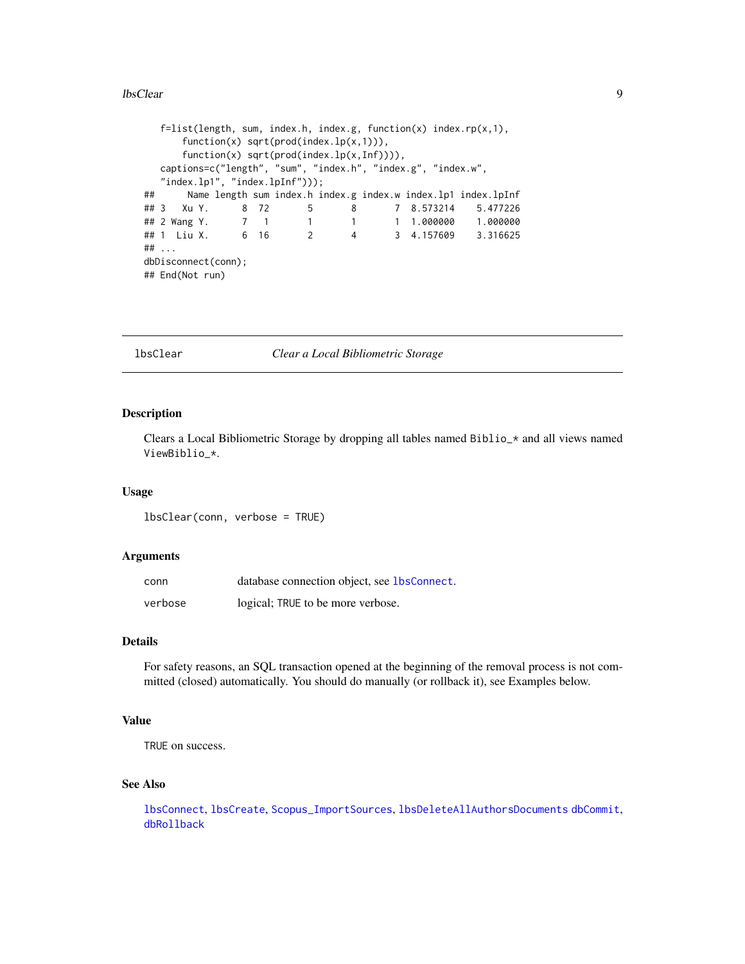#### <span id="page-8-0"></span>lbsClear 9

```
f=list(length, sum, index.h, index.g, function(x) index.rp(x,1),function(x) sqrt(prod(index.lp(x,1))),
     function(x) sqrt(prod(index.lp(x,Inf)))),
  captions=c("length", "sum", "index.h", "index.g", "index.w",
  "index.lp1", "index.lpInf")));
## Name length sum index.h index.g index.w index.lp1 index.lpInf
## 3 Xu Y. 8 72 5 8 7 8.573214 5.477226
## 2 Wang Y. 7 1 1 1 1 1.000000 1.000000
## 1 Liu X. 6 16 2 4 3 4.157609 3.316625
## ...
dbDisconnect(conn);
## End(Not run)
```
<span id="page-8-1"></span>lbsClear *Clear a Local Bibliometric Storage*

#### Description

Clears a Local Bibliometric Storage by dropping all tables named Biblio\_\* and all views named ViewBiblio\_\*.

#### Usage

lbsClear(conn, verbose = TRUE)

#### Arguments

| conn    | database connection object, see 1bsConnect. |
|---------|---------------------------------------------|
| verbose | logical; TRUE to be more verbose.           |

# Details

For safety reasons, an SQL transaction opened at the beginning of the removal process is not committed (closed) automatically. You should do manually (or rollback it), see Examples below.

#### Value

TRUE on success.

### See Also

[lbsConnect](#page-9-1), [lbsCreate](#page-10-1), [Scopus\\_ImportSources](#page-31-1), [lbsDeleteAllAuthorsDocuments](#page-13-1) [dbCommit](#page-0-0), [dbRollback](#page-0-0)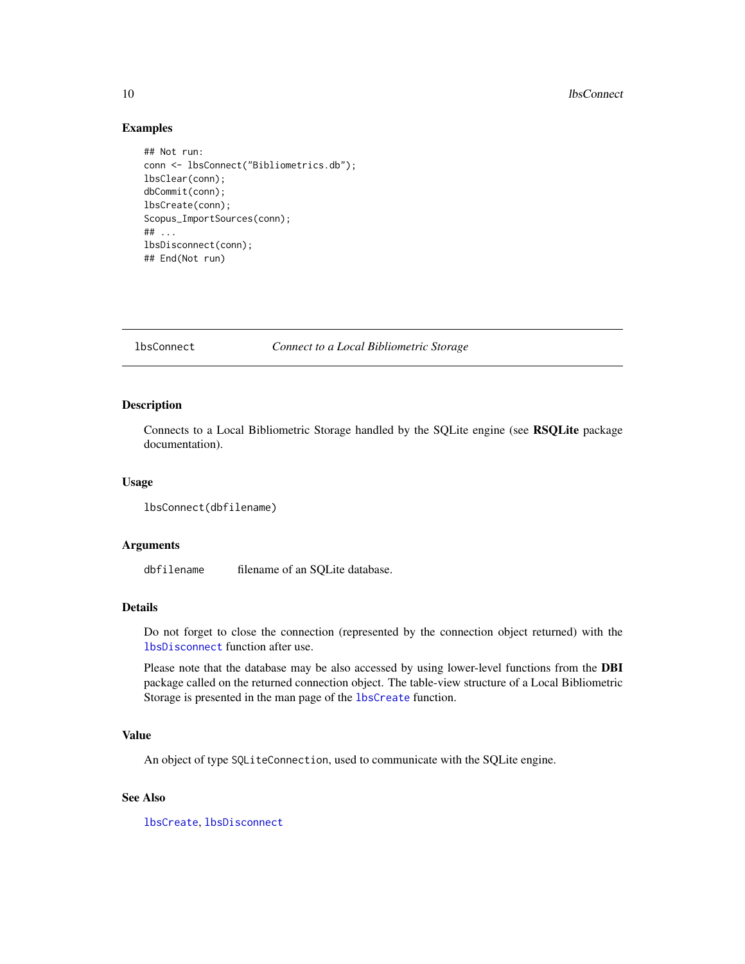#### <span id="page-9-0"></span>10 lbsConnect later than  $\sim$  lbsConnect later than  $\sim$  lbsConnect later than  $\sim$  lbsConnect later than  $\sim$  lbsConnect later than  $\sim$  lbsConnect later than  $\sim$  lbsConnect later than  $\sim$  lbsConnect later than  $\sim$  lbs

#### Examples

```
## Not run:
conn <- lbsConnect("Bibliometrics.db");
lbsClear(conn);
dbCommit(conn);
lbsCreate(conn);
Scopus_ImportSources(conn);
## ...
lbsDisconnect(conn);
## End(Not run)
```
<span id="page-9-1"></span>

lbsConnect *Connect to a Local Bibliometric Storage*

#### Description

Connects to a Local Bibliometric Storage handled by the SQLite engine (see RSQLite package documentation).

#### Usage

```
lbsConnect(dbfilename)
```
#### Arguments

dbfilename filename of an SQLite database.

#### Details

Do not forget to close the connection (represented by the connection object returned) with the [lbsDisconnect](#page-16-1) function after use.

Please note that the database may be also accessed by using lower-level functions from the DBI package called on the returned connection object. The table-view structure of a Local Bibliometric Storage is presented in the man page of the [lbsCreate](#page-10-1) function.

#### Value

An object of type SQLiteConnection, used to communicate with the SQLite engine.

# See Also

[lbsCreate](#page-10-1), [lbsDisconnect](#page-16-1)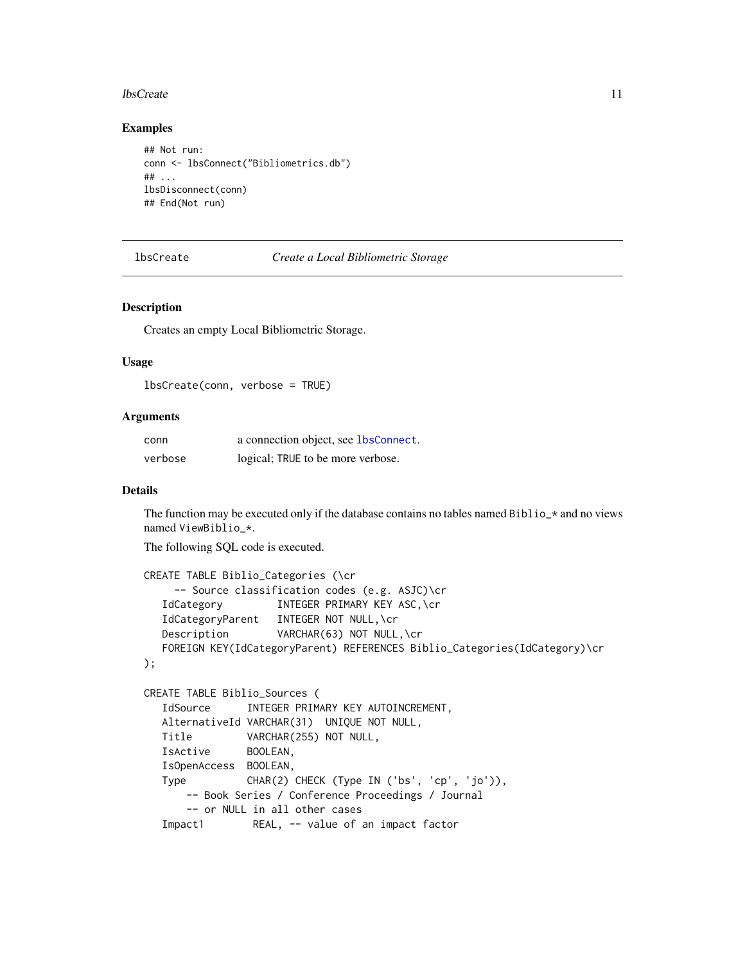#### <span id="page-10-0"></span>lbsCreate the contract of the contract of the contract of the contract of the contract of the contract of the contract of the contract of the contract of the contract of the contract of the contract of the contract of the

#### Examples

```
## Not run:
conn <- lbsConnect("Bibliometrics.db")
## ...
lbsDisconnect(conn)
## End(Not run)
```
<span id="page-10-1"></span>

lbsCreate *Create a Local Bibliometric Storage*

#### Description

Creates an empty Local Bibliometric Storage.

#### Usage

lbsCreate(conn, verbose = TRUE)

#### Arguments

| conn    | a connection object, see 1bsConnect. |
|---------|--------------------------------------|
| verbose | logical; TRUE to be more verbose.    |

#### Details

The function may be executed only if the database contains no tables named  $Biblioc*$  and no views named ViewBiblio\_\*.

The following SQL code is executed.

```
CREATE TABLE Biblio_Categories (\cr
    -- Source classification codes (e.g. ASJC)\cr
  IdCategory INTEGER PRIMARY KEY ASC,\cr
  IdCategoryParent INTEGER NOT NULL,\cr
  Description VARCHAR(63) NOT NULL, \cr
  FOREIGN KEY(IdCategoryParent) REFERENCES Biblio_Categories(IdCategory)\cr
);
CREATE TABLE Biblio_Sources (
  IdSource INTEGER PRIMARY KEY AUTOINCREMENT,
  AlternativeId VARCHAR(31) UNIQUE NOT NULL,
  Title VARCHAR(255) NOT NULL,
  IsActive BOOLEAN,
  IsOpenAccess BOOLEAN,
  Type CHAR(2) CHECK (Type IN ('bs', 'cp', 'jo')),
      -- Book Series / Conference Proceedings / Journal
      -- or NULL in all other cases
  Impact1 REAL, -- value of an impact factor
```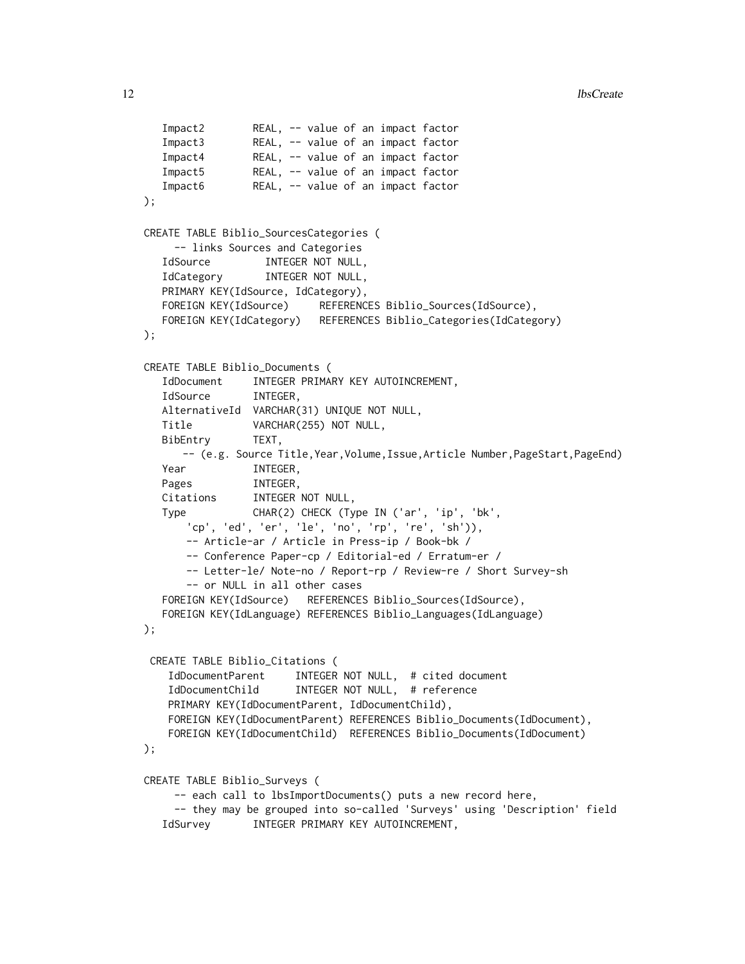```
Impact2 REAL, -- value of an impact factor
  Impact3 REAL, -- value of an impact factor
  Impact4 REAL, -- value of an impact factor
  Impact5 REAL, -- value of an impact factor
  Impact6 REAL, -- value of an impact factor
);
CREATE TABLE Biblio_SourcesCategories (
    -- links Sources and Categories
  IdSource INTEGER NOT NULL,
  IdCategory INTEGER NOT NULL,
  PRIMARY KEY(IdSource, IdCategory),
  FOREIGN KEY(IdSource) REFERENCES Biblio_Sources(IdSource),
  FOREIGN KEY(IdCategory) REFERENCES Biblio_Categories(IdCategory)
);
CREATE TABLE Biblio_Documents (
  IdDocument INTEGER PRIMARY KEY AUTOINCREMENT,
  IdSource INTEGER,
  AlternativeId VARCHAR(31) UNIQUE NOT NULL,
  Title VARCHAR(255) NOT NULL,
  BibEntry TEXT,
     -- (e.g. Source Title,Year,Volume,Issue,Article Number,PageStart,PageEnd)
  Year INTEGER,
  Pages INTEGER,
  Citations INTEGER NOT NULL,
  Type CHAR(2) CHECK (Type IN ('ar', 'ip', 'bk',
      'cp', 'ed', 'er', 'le', 'no', 'rp', 're', 'sh')),
      -- Article-ar / Article in Press-ip / Book-bk /
      -- Conference Paper-cp / Editorial-ed / Erratum-er /
      -- Letter-le/ Note-no / Report-rp / Review-re / Short Survey-sh
      -- or NULL in all other cases
  FOREIGN KEY(IdSource) REFERENCES Biblio_Sources(IdSource),
  FOREIGN KEY(IdLanguage) REFERENCES Biblio_Languages(IdLanguage)
);
CREATE TABLE Biblio_Citations (
   IdDocumentParent INTEGER NOT NULL, # cited document
   IdDocumentChild INTEGER NOT NULL, # reference
   PRIMARY KEY(IdDocumentParent, IdDocumentChild),
   FOREIGN KEY(IdDocumentParent) REFERENCES Biblio_Documents(IdDocument),
   FOREIGN KEY(IdDocumentChild) REFERENCES Biblio_Documents(IdDocument)
);
CREATE TABLE Biblio_Surveys (
    -- each call to lbsImportDocuments() puts a new record here,
    -- they may be grouped into so-called 'Surveys' using 'Description' field
  IdSurvey INTEGER PRIMARY KEY AUTOINCREMENT,
```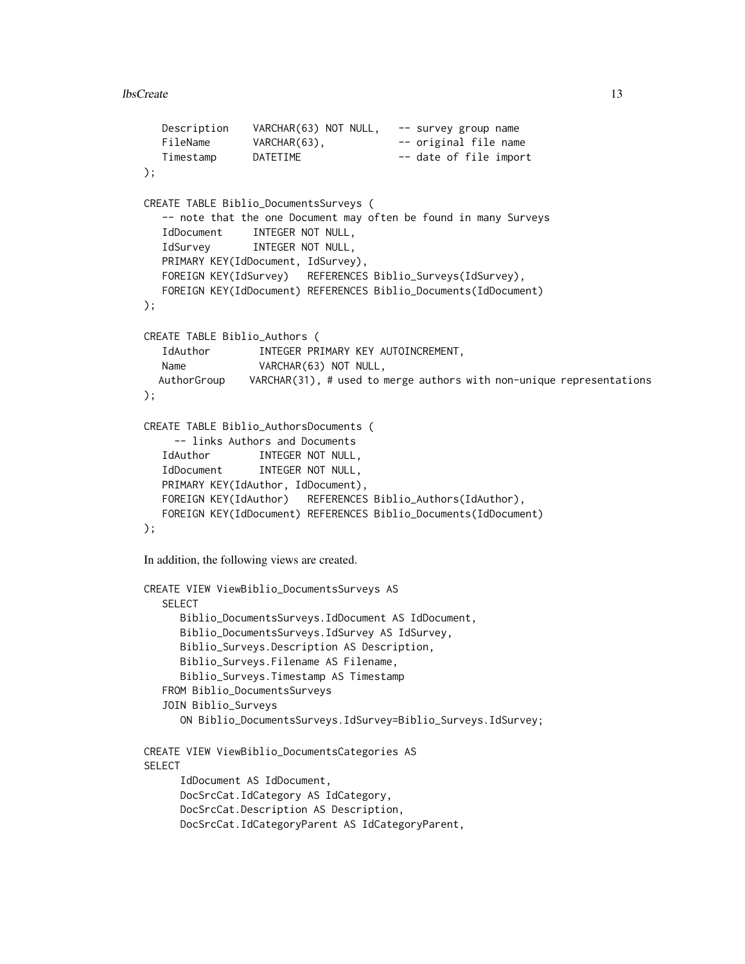```
Description VARCHAR(63) NOT NULL, -- survey group name
  FileName VARCHAR(63), - - original file name
  Timestamp DATETIME -- date of file import
);
CREATE TABLE Biblio_DocumentsSurveys (
  -- note that the one Document may often be found in many Surveys
  IdDocument INTEGER NOT NULL,
  IdSurvey INTEGER NOT NULL,
  PRIMARY KEY(IdDocument, IdSurvey),
  FOREIGN KEY(IdSurvey) REFERENCES Biblio_Surveys(IdSurvey),
  FOREIGN KEY(IdDocument) REFERENCES Biblio_Documents(IdDocument)
);
CREATE TABLE Biblio_Authors (
  IdAuthor INTEGER PRIMARY KEY AUTOINCREMENT,
  Name VARCHAR(63) NOT NULL,
  AuthorGroup VARCHAR(31), # used to merge authors with non-unique representations
);
CREATE TABLE Biblio_AuthorsDocuments (
    -- links Authors and Documents
  IdAuthor INTEGER NOT NULL,
  IdDocument INTEGER NOT NULL,
  PRIMARY KEY(IdAuthor, IdDocument),
  FOREIGN KEY(IdAuthor) REFERENCES Biblio_Authors(IdAuthor),
  FOREIGN KEY(IdDocument) REFERENCES Biblio_Documents(IdDocument)
);
In addition, the following views are created.
CREATE VIEW ViewBiblio_DocumentsSurveys AS
  SELECT
     Biblio_DocumentsSurveys.IdDocument AS IdDocument,
     Biblio_DocumentsSurveys.IdSurvey AS IdSurvey,
     Biblio_Surveys.Description AS Description,
     Biblio_Surveys.Filename AS Filename,
     Biblio_Surveys.Timestamp AS Timestamp
  FROM Biblio_DocumentsSurveys
  JOIN Biblio_Surveys
     ON Biblio_DocumentsSurveys.IdSurvey=Biblio_Surveys.IdSurvey;
CREATE VIEW ViewBiblio_DocumentsCategories AS
SELECT
     IdDocument AS IdDocument,
     DocSrcCat.IdCategory AS IdCategory,
     DocSrcCat.Description AS Description,
     DocSrcCat.IdCategoryParent AS IdCategoryParent,
```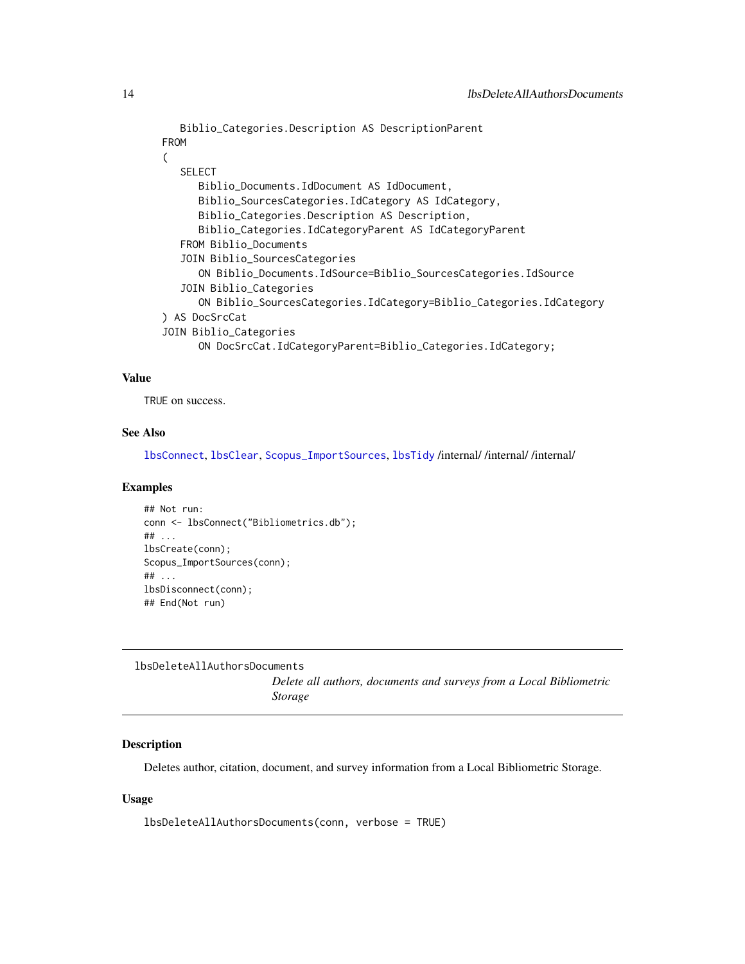```
Biblio_Categories.Description AS DescriptionParent
FROM
(
  SELECT
     Biblio_Documents.IdDocument AS IdDocument,
     Biblio_SourcesCategories.IdCategory AS IdCategory,
     Biblio_Categories.Description AS Description,
     Biblio_Categories.IdCategoryParent AS IdCategoryParent
  FROM Biblio_Documents
  JOIN Biblio_SourcesCategories
     ON Biblio_Documents.IdSource=Biblio_SourcesCategories.IdSource
  JOIN Biblio_Categories
      ON Biblio_SourcesCategories.IdCategory=Biblio_Categories.IdCategory
) AS DocSrcCat
JOIN Biblio_Categories
     ON DocSrcCat.IdCategoryParent=Biblio_Categories.IdCategory;
```
# Value

TRUE on success.

#### See Also

[lbsConnect](#page-9-1), [lbsClear](#page-8-1), [Scopus\\_ImportSources](#page-31-1), [lbsTidy](#page-29-2) /internal/ /internal/ /internal/

#### Examples

```
## Not run:
conn <- lbsConnect("Bibliometrics.db");
## ...
lbsCreate(conn);
Scopus_ImportSources(conn);
## ...
lbsDisconnect(conn);
## End(Not run)
```
<span id="page-13-1"></span>lbsDeleteAllAuthorsDocuments

*Delete all authors, documents and surveys from a Local Bibliometric Storage*

#### Description

Deletes author, citation, document, and survey information from a Local Bibliometric Storage.

#### Usage

lbsDeleteAllAuthorsDocuments(conn, verbose = TRUE)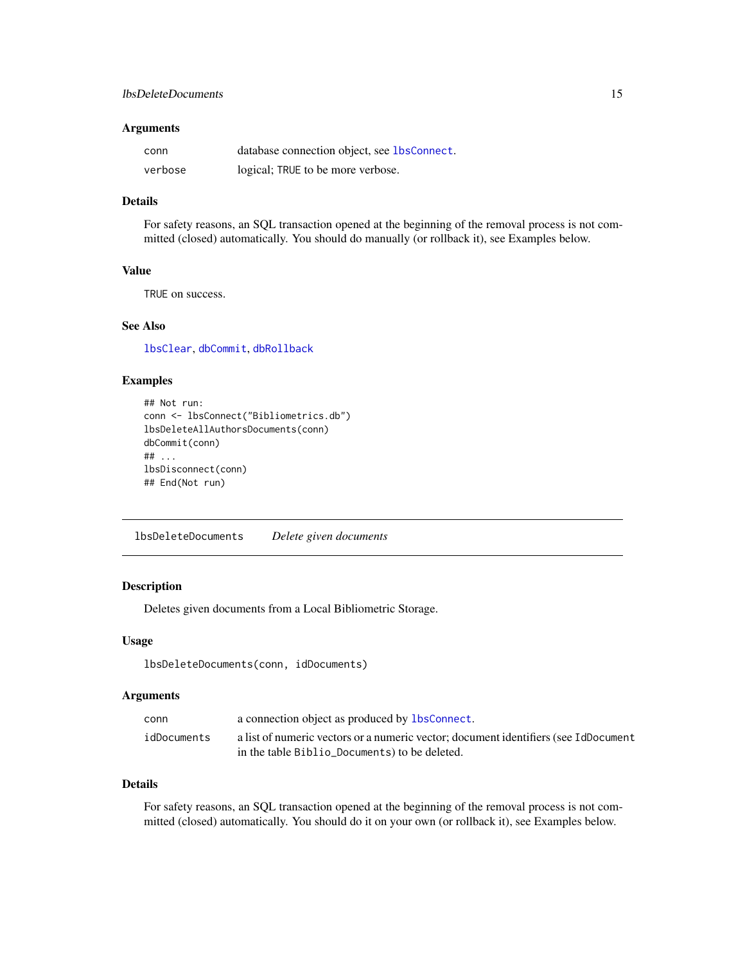<span id="page-14-0"></span>

| conn    | database connection object, see 1bsConnect. |
|---------|---------------------------------------------|
| verbose | logical; TRUE to be more verbose.           |

### Details

For safety reasons, an SQL transaction opened at the beginning of the removal process is not committed (closed) automatically. You should do manually (or rollback it), see Examples below.

# Value

TRUE on success.

# See Also

[lbsClear](#page-8-1), [dbCommit](#page-0-0), [dbRollback](#page-0-0)

# Examples

```
## Not run:
conn <- lbsConnect("Bibliometrics.db")
lbsDeleteAllAuthorsDocuments(conn)
dbCommit(conn)
## ...
lbsDisconnect(conn)
## End(Not run)
```
<span id="page-14-1"></span>lbsDeleteDocuments *Delete given documents*

#### Description

Deletes given documents from a Local Bibliometric Storage.

#### Usage

lbsDeleteDocuments(conn, idDocuments)

#### Arguments

| conn        | a connection object as produced by 1bsConnect.                                                                                       |
|-------------|--------------------------------------------------------------------------------------------------------------------------------------|
| idDocuments | a list of numeric vectors or a numeric vector; document identifiers (see IdDocument<br>in the table Biblio_Documents) to be deleted. |

# Details

For safety reasons, an SQL transaction opened at the beginning of the removal process is not committed (closed) automatically. You should do it on your own (or rollback it), see Examples below.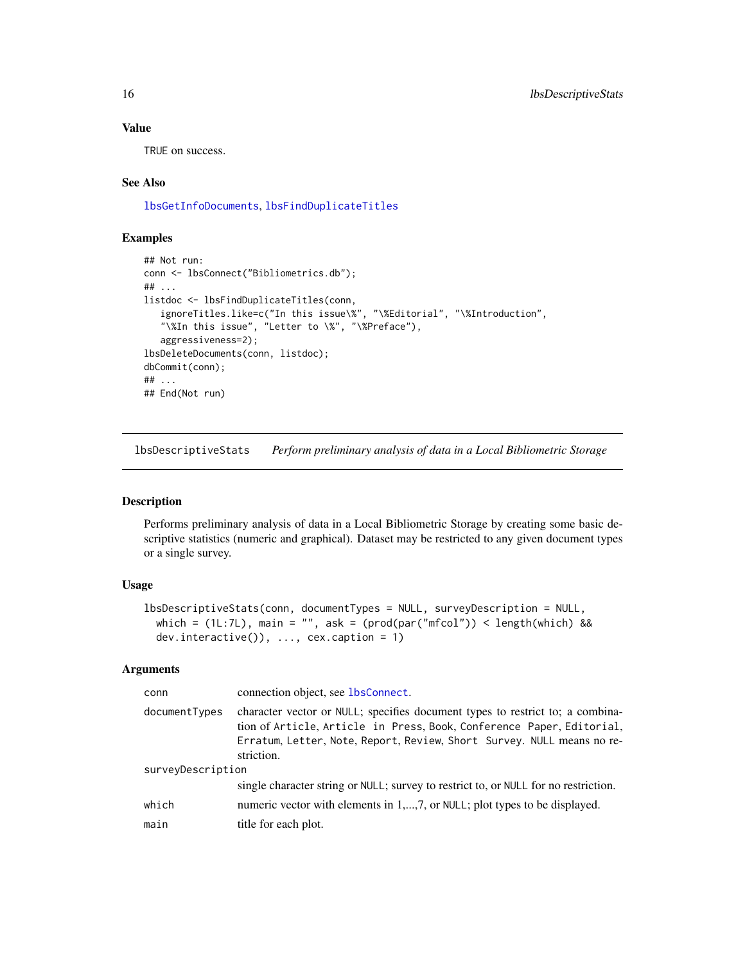# Value

TRUE on success.

# See Also

[lbsGetInfoDocuments](#page-22-1), [lbsFindDuplicateTitles](#page-18-1)

# Examples

```
## Not run:
conn <- lbsConnect("Bibliometrics.db");
## ...
listdoc <- lbsFindDuplicateTitles(conn,
   ignoreTitles.like=c("In this issue\%", "\%Editorial", "\%Introduction",
   "\%In this issue", "Letter to \%", "\%Preface"),
   aggressiveness=2);
lbsDeleteDocuments(conn, listdoc);
dbCommit(conn);
## ...
## End(Not run)
```
<span id="page-15-1"></span>lbsDescriptiveStats *Perform preliminary analysis of data in a Local Bibliometric Storage*

# Description

Performs preliminary analysis of data in a Local Bibliometric Storage by creating some basic descriptive statistics (numeric and graphical). Dataset may be restricted to any given document types or a single survey.

#### Usage

```
lbsDescriptiveStats(conn, documentTypes = NULL, surveyDescription = NULL,
 which = (1L:7L), main = "", ask = (pred(pord("mfcol")) < length(which) &&
  dev.interactive(), ..., cex.caption = 1)
```
# Arguments

| conn              | connection object, see 1bsConnect.                                                                                                                                                                                                             |
|-------------------|------------------------------------------------------------------------------------------------------------------------------------------------------------------------------------------------------------------------------------------------|
| documentTypes     | character vector or NULL; specifies document types to restrict to; a combina-<br>tion of Article, Article in Press, Book, Conference Paper, Editorial,<br>Erratum, Letter, Note, Report, Review, Short Survey. NULL means no re-<br>striction. |
| surveyDescription |                                                                                                                                                                                                                                                |
|                   | single character string or NULL; survey to restrict to, or NULL for no restriction.                                                                                                                                                            |
| which             | numeric vector with elements in 1,, 7, or NULL; plot types to be displayed.                                                                                                                                                                    |
| main              | title for each plot.                                                                                                                                                                                                                           |
|                   |                                                                                                                                                                                                                                                |

<span id="page-15-0"></span>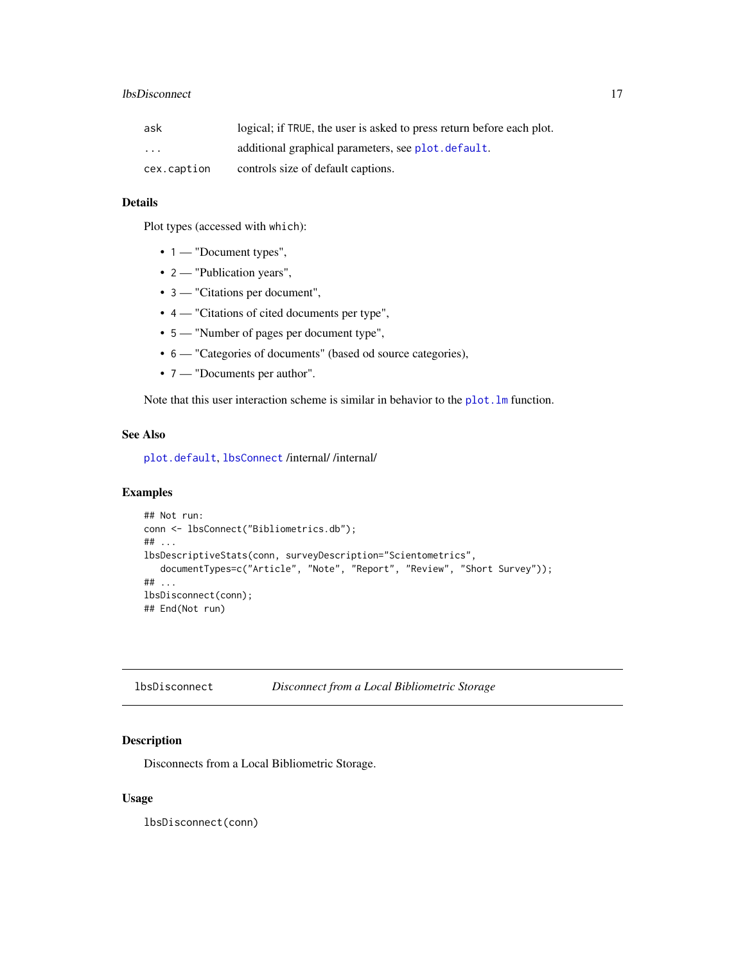# <span id="page-16-0"></span>lbsDisconnect 17

| ask                     | logical; if TRUE, the user is asked to press return before each plot. |
|-------------------------|-----------------------------------------------------------------------|
| $\cdot$ $\cdot$ $\cdot$ | additional graphical parameters, see plot, default.                   |
| cex.caption             | controls size of default captions.                                    |

# Details

Plot types (accessed with which):

- 1 "Document types",
- 2 "Publication years",
- 3 "Citations per document",
- 4 "Citations of cited documents per type",
- 5 "Number of pages per document type",
- 6 "Categories of documents" (based od source categories),
- 7 "Documents per author".

Note that this user interaction scheme is similar in behavior to the plot. Im function.

# See Also

[plot.default](#page-0-0), [lbsConnect](#page-9-1) /internal/ /internal/

# Examples

```
## Not run:
conn <- lbsConnect("Bibliometrics.db");
## ...
lbsDescriptiveStats(conn, surveyDescription="Scientometrics",
  documentTypes=c("Article", "Note", "Report", "Review", "Short Survey"));
## ...
lbsDisconnect(conn);
## End(Not run)
```
<span id="page-16-1"></span>

| lbsDisconnect | Disconnect from a Local Bibliometric Storage |
|---------------|----------------------------------------------|
|---------------|----------------------------------------------|

# Description

Disconnects from a Local Bibliometric Storage.

# Usage

lbsDisconnect(conn)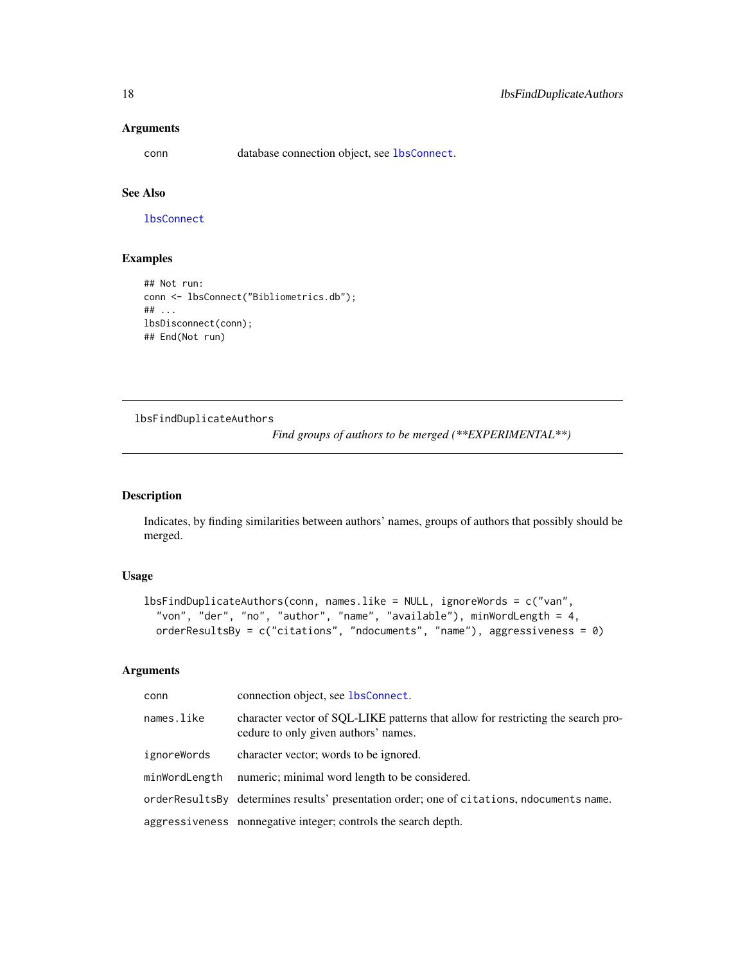<span id="page-17-0"></span>conn database connection object, see [lbsConnect](#page-9-1).

# See Also

**[lbsConnect](#page-9-1)** 

# Examples

```
## Not run:
conn <- lbsConnect("Bibliometrics.db");
## ...
lbsDisconnect(conn);
## End(Not run)
```
<span id="page-17-1"></span>lbsFindDuplicateAuthors

*Find groups of authors to be merged (\*\*EXPERIMENTAL\*\*)*

# Description

Indicates, by finding similarities between authors' names, groups of authors that possibly should be merged.

# Usage

```
lbsFindDuplicateAuthors(conn, names.like = NULL, ignoreWords = c("van",
  "von", "der", "no", "author", "name", "available"), minWordLength = 4,
 orderResultsBy = c("citations", "ndocuments", "name"), aggressiveness = 0)
```
# Arguments

| conn          | connection object, see 1bsConnect.                                                                                       |
|---------------|--------------------------------------------------------------------------------------------------------------------------|
| names.like    | character vector of SQL-LIKE patterns that allow for restricting the search pro-<br>cedure to only given authors' names. |
| ignoreWords   | character vector; words to be ignored.                                                                                   |
| minWordLength | numeric; minimal word length to be considered.                                                                           |
|               | orderResultsBy determines results' presentation order; one of citations, ndocuments name.                                |
|               | aggressiveness nonnegative integer; controls the search depth.                                                           |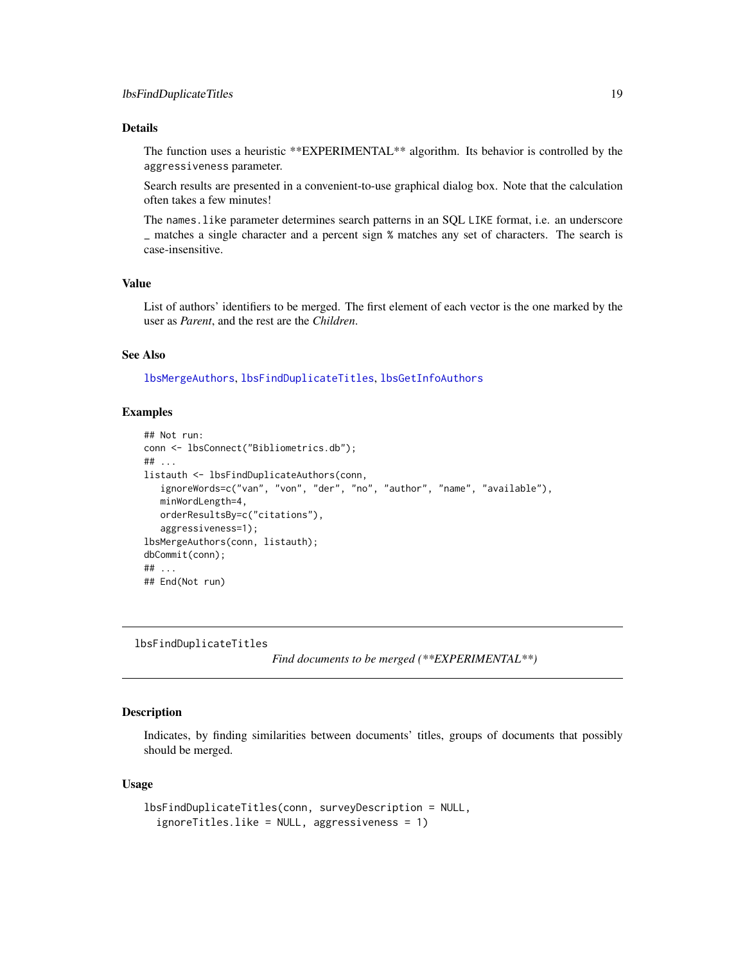#### <span id="page-18-0"></span>Details

The function uses a heuristic \*\*EXPERIMENTAL\*\* algorithm. Its behavior is controlled by the aggressiveness parameter.

Search results are presented in a convenient-to-use graphical dialog box. Note that the calculation often takes a few minutes!

The names.like parameter determines search patterns in an SQL LIKE format, i.e. an underscore \_ matches a single character and a percent sign % matches any set of characters. The search is case-insensitive.

# Value

List of authors' identifiers to be merged. The first element of each vector is the one marked by the user as *Parent*, and the rest are the *Children*.

# See Also

[lbsMergeAuthors](#page-25-1), [lbsFindDuplicateTitles](#page-18-1), [lbsGetInfoAuthors](#page-21-1)

#### Examples

```
## Not run:
conn <- lbsConnect("Bibliometrics.db");
## ...
listauth <- lbsFindDuplicateAuthors(conn,
   ignoreWords=c("van", "von", "der", "no", "author", "name", "available"),
  minWordLength=4,
  orderResultsBy=c("citations"),
  aggressiveness=1);
lbsMergeAuthors(conn, listauth);
dbCommit(conn);
## ...
## End(Not run)
```
<span id="page-18-1"></span>lbsFindDuplicateTitles

*Find documents to be merged (\*\*EXPERIMENTAL\*\*)*

#### Description

Indicates, by finding similarities between documents' titles, groups of documents that possibly should be merged.

#### Usage

```
lbsFindDuplicateTitles(conn, surveyDescription = NULL,
  ignoreTitles.like = NULL, aggressiveness = 1)
```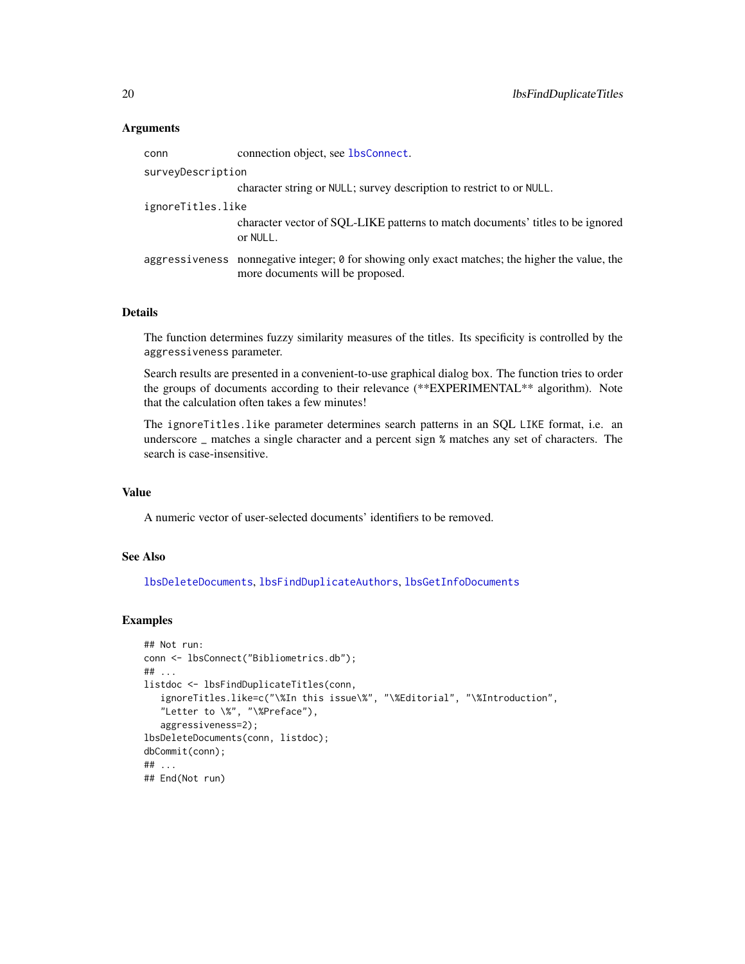<span id="page-19-0"></span>

| conn              | connection object, see 1bsConnect.                                                                                                  |  |
|-------------------|-------------------------------------------------------------------------------------------------------------------------------------|--|
| surveyDescription |                                                                                                                                     |  |
|                   | character string or NULL; survey description to restrict to or NULL.                                                                |  |
| ignoreTitles.like |                                                                                                                                     |  |
|                   | character vector of SOL-LIKE patterns to match documents' titles to be ignored<br>or NULL.                                          |  |
|                   | aggressiveness nonnegative integer; 0 for showing only exact matches; the higher the value, the<br>more documents will be proposed. |  |

#### Details

The function determines fuzzy similarity measures of the titles. Its specificity is controlled by the aggressiveness parameter.

Search results are presented in a convenient-to-use graphical dialog box. The function tries to order the groups of documents according to their relevance (\*\*EXPERIMENTAL\*\* algorithm). Note that the calculation often takes a few minutes!

The ignoreTitles.like parameter determines search patterns in an SQL LIKE format, i.e. an underscore \_ matches a single character and a percent sign % matches any set of characters. The search is case-insensitive.

# Value

A numeric vector of user-selected documents' identifiers to be removed.

# See Also

[lbsDeleteDocuments](#page-14-1), [lbsFindDuplicateAuthors](#page-17-1), [lbsGetInfoDocuments](#page-22-1)

#### Examples

```
## Not run:
conn <- lbsConnect("Bibliometrics.db");
## ...
listdoc <- lbsFindDuplicateTitles(conn,
   ignoreTitles.like=c("\%In this issue\%", "\%Editorial", "\%Introduction",
   "Letter to \%", "\%Preface"),
   aggressiveness=2);
lbsDeleteDocuments(conn, listdoc);
dbCommit(conn);
## ...
## End(Not run)
```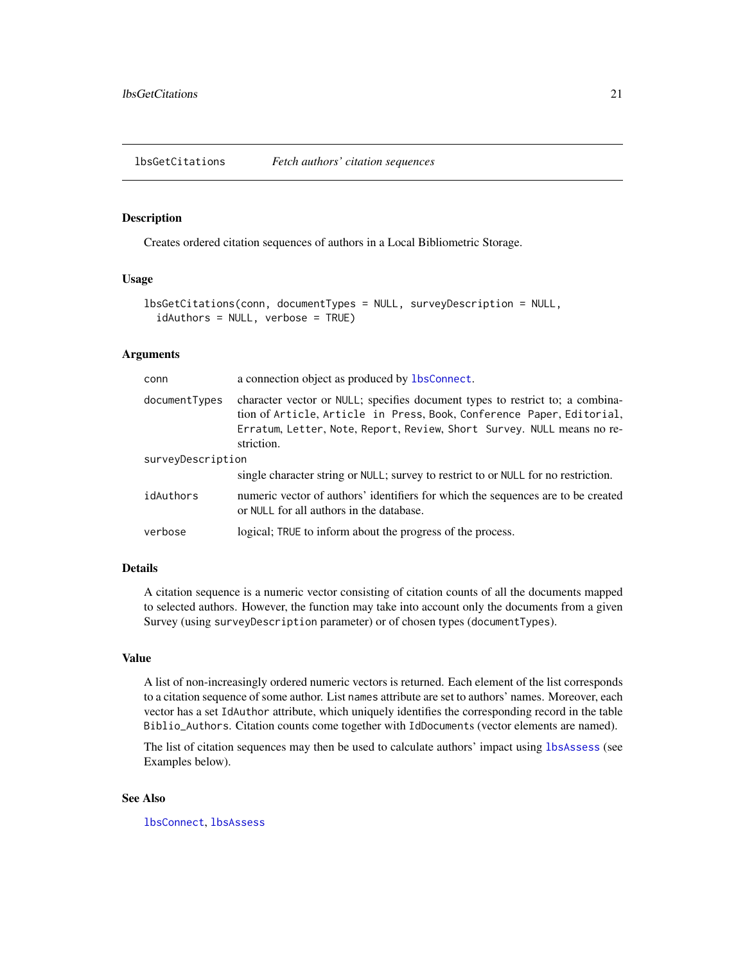<span id="page-20-1"></span><span id="page-20-0"></span>lbsGetCitations *Fetch authors' citation sequences*

#### Description

Creates ordered citation sequences of authors in a Local Bibliometric Storage.

# Usage

```
lbsGetCitations(conn, documentTypes = NULL, surveyDescription = NULL,
  idAuthors = NULL, verbose = TRUE)
```
# Arguments

| conn              | a connection object as produced by <b>lbsConnect</b> .                                                                                                                                                                                         |  |
|-------------------|------------------------------------------------------------------------------------------------------------------------------------------------------------------------------------------------------------------------------------------------|--|
| documentTypes     | character vector or NULL; specifies document types to restrict to; a combina-<br>tion of Article, Article in Press, Book, Conference Paper, Editorial,<br>Erratum, Letter, Note, Report, Review, Short Survey. NULL means no re-<br>striction. |  |
| surveyDescription |                                                                                                                                                                                                                                                |  |
|                   | single character string or NULL; survey to restrict to or NULL for no restriction.                                                                                                                                                             |  |
| idAuthors         | numeric vector of authors' identifiers for which the sequences are to be created<br>or NULL for all authors in the database.                                                                                                                   |  |
| verbose           | logical; TRUE to inform about the progress of the process.                                                                                                                                                                                     |  |

# Details

A citation sequence is a numeric vector consisting of citation counts of all the documents mapped to selected authors. However, the function may take into account only the documents from a given Survey (using surveyDescription parameter) or of chosen types (documentTypes).

#### Value

A list of non-increasingly ordered numeric vectors is returned. Each element of the list corresponds to a citation sequence of some author. List names attribute are set to authors' names. Moreover, each vector has a set IdAuthor attribute, which uniquely identifies the corresponding record in the table Biblio\_Authors. Citation counts come together with IdDocuments (vector elements are named).

The list of citation sequences may then be used to calculate authors' impact using [lbsAssess](#page-6-1) (see Examples below).

# See Also

[lbsConnect](#page-9-1), [lbsAssess](#page-6-1)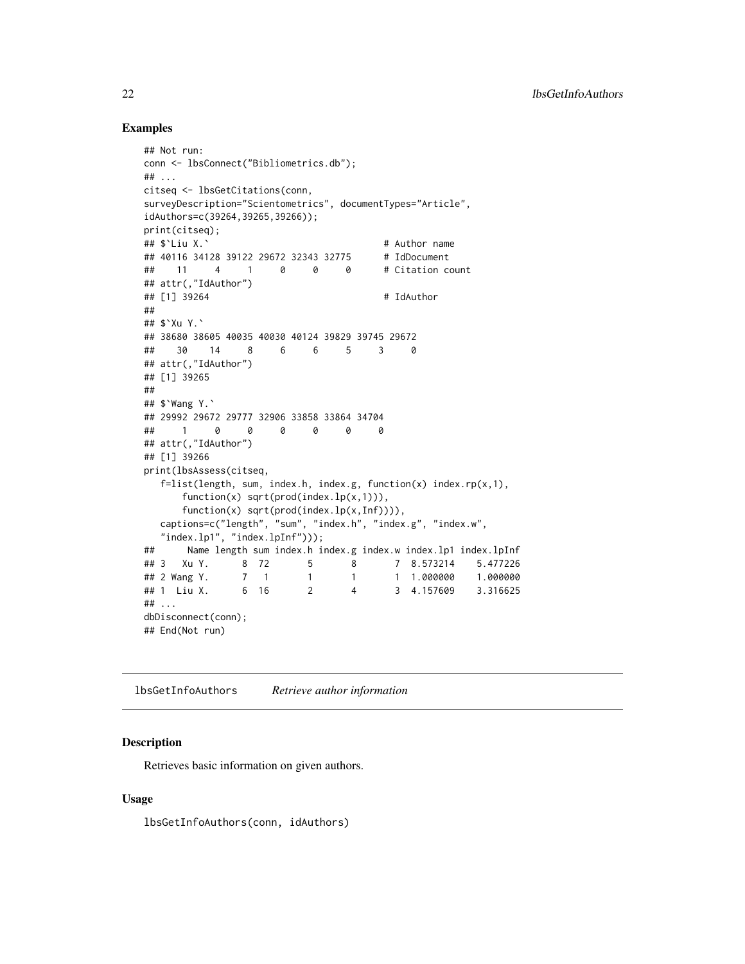#### Examples

```
## Not run:
conn <- lbsConnect("Bibliometrics.db");
## ...
citseq <- lbsGetCitations(conn,
surveyDescription="Scientometrics", documentTypes="Article",
idAuthors=c(39264,39265,39266));
print(citseq);
## $`Liu X.` # Author name
## 40116 34128 39122 29672 32343 32775 # IdDocument
## 11 4 1 0 0 0 # Citation count
## attr(,"IdAuthor")
## [1] 39264 # IdAuthor
##
## $`Xu Y.`
## 38680 38605 40035 40030 40124 39829 39745 29672
## 30 14 8 6 6 5 3 0
## attr(,"IdAuthor")
## [1] 39265
##
## $`Wang Y.`
## 29992 29672 29777 32906 33858 33864 34704
## 1 0 0 0 0 0 0
## attr(,"IdAuthor")
## [1] 39266
print(lbsAssess(citseq,
  f=list(length, sum, index.h, index.g, function(x) index.rp(x,1),
      function(x) sqrt(prod(index.lp(x,1))),
      function(x) sqrt(prod(index.lp(x,Inf)))),
  captions=c("length", "sum", "index.h", "index.g", "index.w",
  "index.lp1", "index.lpInf")));
## Name length sum index.h index.g index.w index.lp1 index.lpInf<br>## 3 Xu Y. 8 72 5 8 7 8.573214 5.477226
## 3 Xu Y. 8 72 5 8 7 8.573214 5.477226
## 2 Wang Y. 7 1 1 1 1 1.000000 1.000000
## 1 Liu X. 6 16 2 4 3 4.157609 3.316625
## ...
dbDisconnect(conn);
## End(Not run)
```
<span id="page-21-1"></span>lbsGetInfoAuthors *Retrieve author information*

# **Description**

Retrieves basic information on given authors.

#### Usage

lbsGetInfoAuthors(conn, idAuthors)

<span id="page-21-0"></span>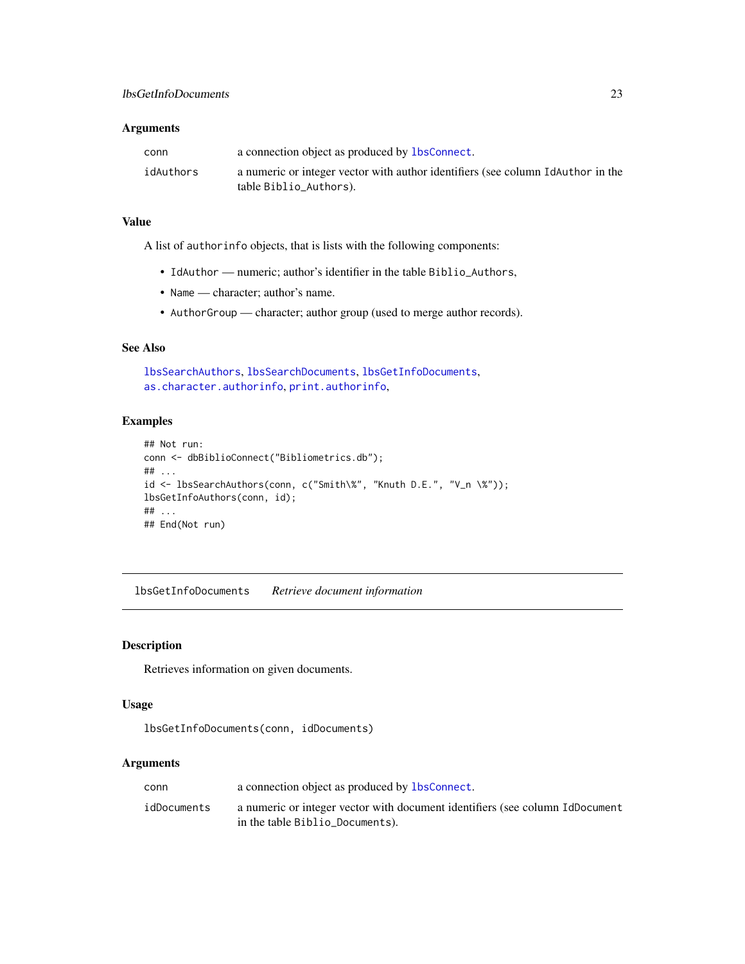<span id="page-22-0"></span>

| conn      | a connection object as produced by 1bsConnect.                                                            |
|-----------|-----------------------------------------------------------------------------------------------------------|
| idAuthors | a numeric or integer vector with author identifiers (see column IdAuthor in the<br>table Biblio_Authors). |

# Value

A list of authorinfo objects, that is lists with the following components:

- IdAuthor numeric; author's identifier in the table Biblio\_Authors,
- Name character; author's name.
- AuthorGroup character; author group (used to merge author records).

# See Also

[lbsSearchAuthors](#page-26-1), [lbsSearchDocuments](#page-27-1), [lbsGetInfoDocuments](#page-22-1), [as.character.authorinfo](#page-4-1), [print.authorinfo](#page-29-1),

# Examples

```
## Not run:
conn <- dbBiblioConnect("Bibliometrics.db");
## ...
id <- lbsSearchAuthors(conn, c("Smith\%", "Knuth D.E.", "V_n \%"));
lbsGetInfoAuthors(conn, id);
## ...
## End(Not run)
```
<span id="page-22-1"></span>lbsGetInfoDocuments *Retrieve document information*

#### Description

Retrieves information on given documents.

# Usage

```
lbsGetInfoDocuments(conn, idDocuments)
```
# Arguments

| conn        | a connection object as produced by 1bsConnect.                                                                  |
|-------------|-----------------------------------------------------------------------------------------------------------------|
| idDocuments | a numeric or integer vector with document identifiers (see column IdDocument<br>in the table Biblio_Documents). |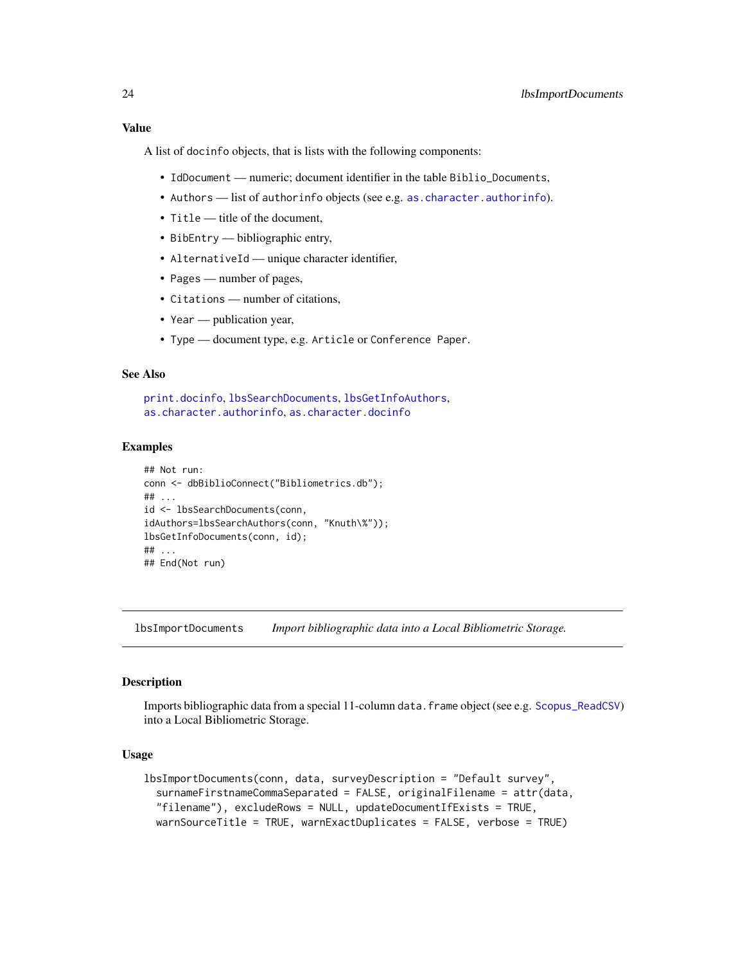# <span id="page-23-0"></span>Value

A list of docinfo objects, that is lists with the following components:

- IdDocument numeric; document identifier in the table Biblio\_Documents,
- Authors list of authorinfo objects (see e.g. as. character. authorinfo).
- Title title of the document,
- BibEntry bibliographic entry,
- AlternativeId unique character identifier,
- Pages number of pages,
- Citations number of citations,
- Year publication year,
- Type document type, e.g. Article or Conference Paper.

# See Also

[print.docinfo](#page-30-2), [lbsSearchDocuments](#page-27-1), [lbsGetInfoAuthors](#page-21-1), [as.character.authorinfo](#page-4-1), [as.character.docinfo](#page-5-1)

#### Examples

```
## Not run:
conn <- dbBiblioConnect("Bibliometrics.db");
## ...
id <- lbsSearchDocuments(conn,
idAuthors=lbsSearchAuthors(conn, "Knuth\%"));
lbsGetInfoDocuments(conn, id);
## ...
## End(Not run)
```
<span id="page-23-1"></span>lbsImportDocuments *Import bibliographic data into a Local Bibliometric Storage.*

# **Description**

Imports bibliographic data from a special 11-column data.frame object (see e.g. [Scopus\\_ReadCSV](#page-32-1)) into a Local Bibliometric Storage.

# Usage

```
lbsImportDocuments(conn, data, surveyDescription = "Default survey",
  surnameFirstnameCommaSeparated = FALSE, originalFilename = attr(data,
  "filename"), excludeRows = NULL, updateDocumentIfExists = TRUE,
  warnSourceTitle = TRUE, warnExactDuplicates = FALSE, verbose = TRUE)
```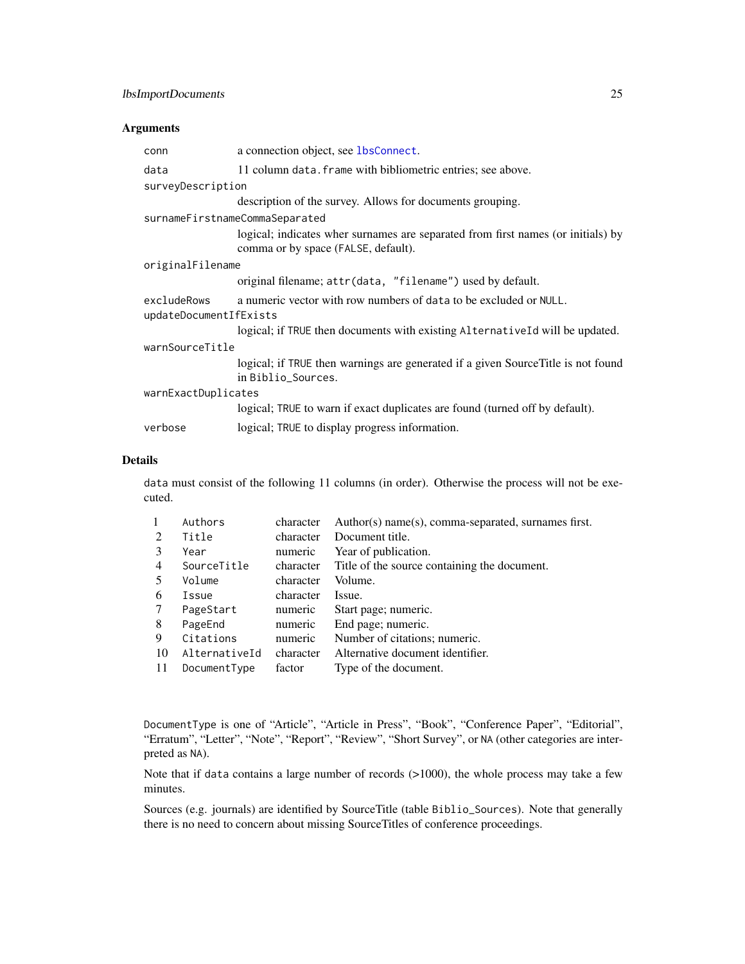<span id="page-24-0"></span>

| conn                                  | a connection object, see lbsConnect.                                                                                    |  |  |
|---------------------------------------|-------------------------------------------------------------------------------------------------------------------------|--|--|
| data                                  | 11 column data. frame with bibliometric entries; see above.                                                             |  |  |
| surveyDescription                     |                                                                                                                         |  |  |
|                                       | description of the survey. Allows for documents grouping.                                                               |  |  |
| surnameFirstnameCommaSeparated        |                                                                                                                         |  |  |
|                                       | logical; indicates wher surnames are separated from first names (or initials) by<br>comma or by space (FALSE, default). |  |  |
| originalFilename                      |                                                                                                                         |  |  |
|                                       | original filename; attr(data, "filename") used by default.                                                              |  |  |
| excludeRows<br>updateDocumentIfExists | a numeric vector with row numbers of data to be excluded or NULL.                                                       |  |  |
|                                       | logical; if TRUE then documents with existing Alternative Id will be updated.                                           |  |  |
| warnSourceTitle                       |                                                                                                                         |  |  |
|                                       | logical; if TRUE then warnings are generated if a given Source Title is not found<br>in Biblio_Sources.                 |  |  |
| warnExactDuplicates                   |                                                                                                                         |  |  |
|                                       | logical; TRUE to warn if exact duplicates are found (turned off by default).                                            |  |  |
| verbose                               | logical; TRUE to display progress information.                                                                          |  |  |

#### Details

data must consist of the following 11 columns (in order). Otherwise the process will not be executed.

| 1              | Authors       | character | Author(s) name(s), comma-separated, surnames first. |
|----------------|---------------|-----------|-----------------------------------------------------|
| 2              | Title         | character | Document title.                                     |
| 3              | Year          | numeric   | Year of publication.                                |
| $\overline{4}$ | SourceTitle   | character | Title of the source containing the document.        |
| 5              | Volume        | character | Volume.                                             |
| 6              | Issue         | character | Issue.                                              |
| 7              | PageStart     | numeric   | Start page; numeric.                                |
| 8              | PageEnd       | numeric   | End page; numeric.                                  |
| 9              | Citations     | numeric   | Number of citations; numeric.                       |
| 10             | AlternativeId | character | Alternative document identifier.                    |
| 11             | DocumentType  | factor    | Type of the document.                               |
|                |               |           |                                                     |

DocumentType is one of "Article", "Article in Press", "Book", "Conference Paper", "Editorial", "Erratum", "Letter", "Note", "Report", "Review", "Short Survey", or NA (other categories are interpreted as NA).

Note that if data contains a large number of records  $(>1000)$ , the whole process may take a few minutes.

Sources (e.g. journals) are identified by SourceTitle (table Biblio\_Sources). Note that generally there is no need to concern about missing SourceTitles of conference proceedings.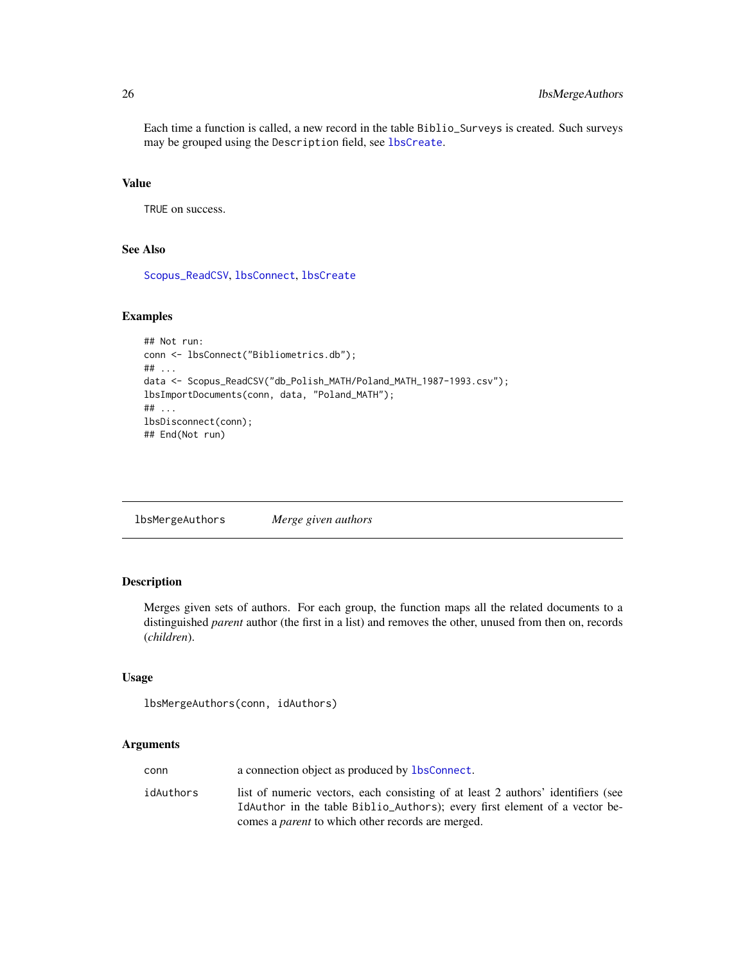Each time a function is called, a new record in the table Biblio\_Surveys is created. Such surveys may be grouped using the Description field, see [lbsCreate](#page-10-1).

#### Value

TRUE on success.

# See Also

[Scopus\\_ReadCSV](#page-32-1), [lbsConnect](#page-9-1), [lbsCreate](#page-10-1)

#### Examples

```
## Not run:
conn <- lbsConnect("Bibliometrics.db");
## ...
data <- Scopus_ReadCSV("db_Polish_MATH/Poland_MATH_1987-1993.csv");
lbsImportDocuments(conn, data, "Poland_MATH");
## ...
lbsDisconnect(conn);
## End(Not run)
```
<span id="page-25-1"></span>lbsMergeAuthors *Merge given authors*

# Description

Merges given sets of authors. For each group, the function maps all the related documents to a distinguished *parent* author (the first in a list) and removes the other, unused from then on, records (*children*).

#### Usage

```
lbsMergeAuthors(conn, idAuthors)
```
# Arguments

| a connection object as produced by <b>lbsConnect</b> .                                                                                                                                                                     |
|----------------------------------------------------------------------------------------------------------------------------------------------------------------------------------------------------------------------------|
| list of numeric vectors, each consisting of at least 2 authors' identifiers (see<br>Idauthor in the table Biblio Authors); every first element of a vector be-<br>comes a <i>parent</i> to which other records are merged. |
|                                                                                                                                                                                                                            |

<span id="page-25-0"></span>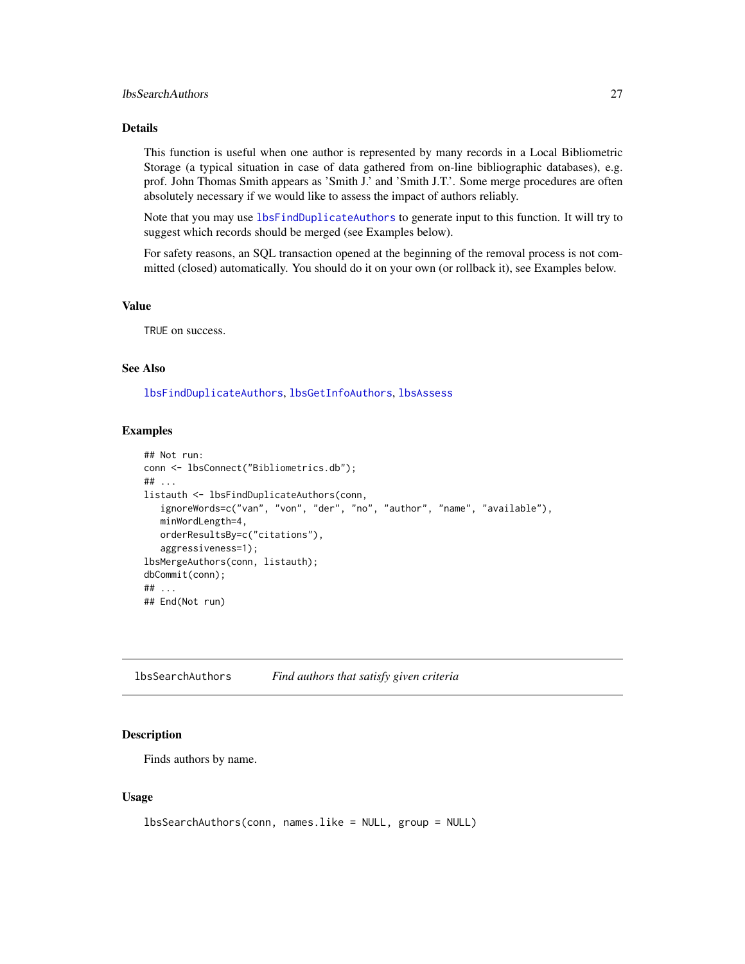### <span id="page-26-0"></span>lbsSearchAuthors 27

#### Details

This function is useful when one author is represented by many records in a Local Bibliometric Storage (a typical situation in case of data gathered from on-line bibliographic databases), e.g. prof. John Thomas Smith appears as 'Smith J.' and 'Smith J.T.'. Some merge procedures are often absolutely necessary if we would like to assess the impact of authors reliably.

Note that you may use [lbsFindDuplicateAuthors](#page-17-1) to generate input to this function. It will try to suggest which records should be merged (see Examples below).

For safety reasons, an SQL transaction opened at the beginning of the removal process is not committed (closed) automatically. You should do it on your own (or rollback it), see Examples below.

#### Value

TRUE on success.

# See Also

[lbsFindDuplicateAuthors](#page-17-1), [lbsGetInfoAuthors](#page-21-1), [lbsAssess](#page-6-1)

#### Examples

```
## Not run:
conn <- lbsConnect("Bibliometrics.db");
## ...
listauth <- lbsFindDuplicateAuthors(conn,
   ignoreWords=c("van", "von", "der", "no", "author", "name", "available"),
   minWordLength=4,
   orderResultsBy=c("citations"),
   aggressiveness=1);
lbsMergeAuthors(conn, listauth);
dbCommit(conn);
## ...
## End(Not run)
```
<span id="page-26-1"></span>lbsSearchAuthors *Find authors that satisfy given criteria*

#### Description

Finds authors by name.

#### Usage

```
lbsSearchAuthors(conn, names.like = NULL, group = NULL)
```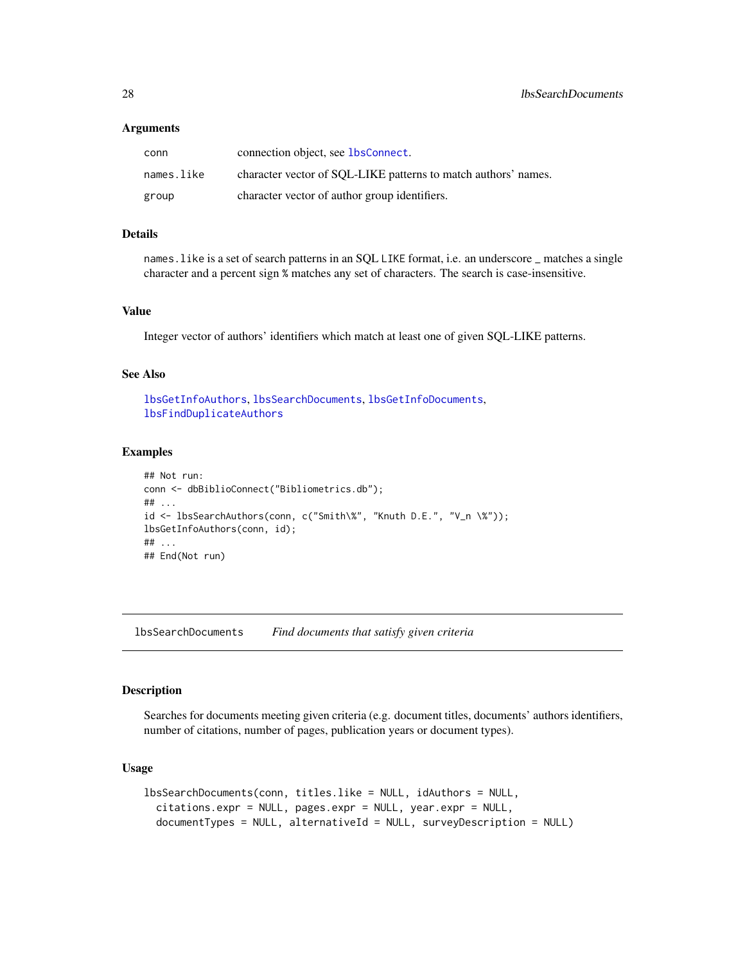| conn       | connection object, see 1bsConnect.                             |
|------------|----------------------------------------------------------------|
| names.like | character vector of SOL-LIKE patterns to match authors' names. |
| group      | character vector of author group identifiers.                  |

#### Details

names. Like is a set of search patterns in an SQL LIKE format, i.e. an underscore \_ matches a single character and a percent sign % matches any set of characters. The search is case-insensitive.

#### Value

Integer vector of authors' identifiers which match at least one of given SQL-LIKE patterns.

# See Also

[lbsGetInfoAuthors](#page-21-1), [lbsSearchDocuments](#page-27-1), [lbsGetInfoDocuments](#page-22-1), [lbsFindDuplicateAuthors](#page-17-1)

#### Examples

```
## Not run:
conn <- dbBiblioConnect("Bibliometrics.db");
## ...
id <- lbsSearchAuthors(conn, c("Smith\%", "Knuth D.E.", "V_n \%"));
lbsGetInfoAuthors(conn, id);
## ...
## End(Not run)
```
<span id="page-27-1"></span>lbsSearchDocuments *Find documents that satisfy given criteria*

#### Description

Searches for documents meeting given criteria (e.g. document titles, documents' authors identifiers, number of citations, number of pages, publication years or document types).

### Usage

```
lbsSearchDocuments(conn, titles.like = NULL, idAuthors = NULL,
 citations.expr = NULL, pages.expr = NULL, year.expr = NULL,
  documentTypes = NULL, alternativeId = NULL, surveyDescription = NULL)
```
<span id="page-27-0"></span>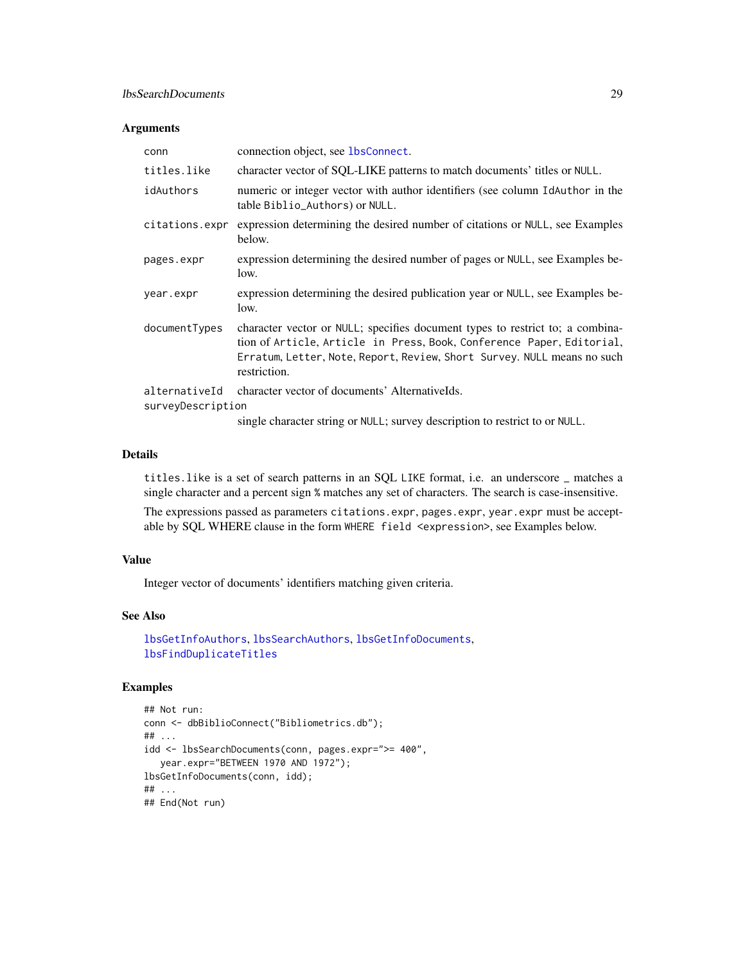<span id="page-28-0"></span>

| conn                               | connection object, see lbsConnect.                                                                                                                                                                                                                |
|------------------------------------|---------------------------------------------------------------------------------------------------------------------------------------------------------------------------------------------------------------------------------------------------|
| titles.like                        | character vector of SQL-LIKE patterns to match documents' titles or NULL.                                                                                                                                                                         |
| idAuthors                          | numeric or integer vector with author identifiers (see column IdAuthor in the<br>table Biblio_Authors) or NULL.                                                                                                                                   |
| citations.expr                     | expression determining the desired number of citations or NULL, see Examples<br>below.                                                                                                                                                            |
| pages.expr                         | expression determining the desired number of pages or NULL, see Examples be-<br>low.                                                                                                                                                              |
| year.expr                          | expression determining the desired publication year or NULL, see Examples be-<br>low.                                                                                                                                                             |
| documentTypes                      | character vector or NULL; specifies document types to restrict to; a combina-<br>tion of Article, Article in Press, Book, Conference Paper, Editorial,<br>Erratum, Letter, Note, Report, Review, Short Survey. NULL means no such<br>restriction. |
| alternativeId<br>surveyDescription | character vector of documents' AlternativeIds.                                                                                                                                                                                                    |
|                                    | single character string or NULL; survey description to restrict to or NULL.                                                                                                                                                                       |

#### Details

titles.like is a set of search patterns in an SQL LIKE format, i.e. an underscore \_ matches a single character and a percent sign % matches any set of characters. The search is case-insensitive.

The expressions passed as parameters citations.expr, pages.expr, year.expr must be acceptable by SQL WHERE clause in the form WHERE field <expression>, see Examples below.

# Value

Integer vector of documents' identifiers matching given criteria.

# See Also

[lbsGetInfoAuthors](#page-21-1), [lbsSearchAuthors](#page-26-1), [lbsGetInfoDocuments](#page-22-1), [lbsFindDuplicateTitles](#page-18-1)

#### Examples

```
## Not run:
conn <- dbBiblioConnect("Bibliometrics.db");
## ...
idd <- lbsSearchDocuments(conn, pages.expr=">= 400",
  year.expr="BETWEEN 1970 AND 1972");
lbsGetInfoDocuments(conn, idd);
## ...
## End(Not run)
```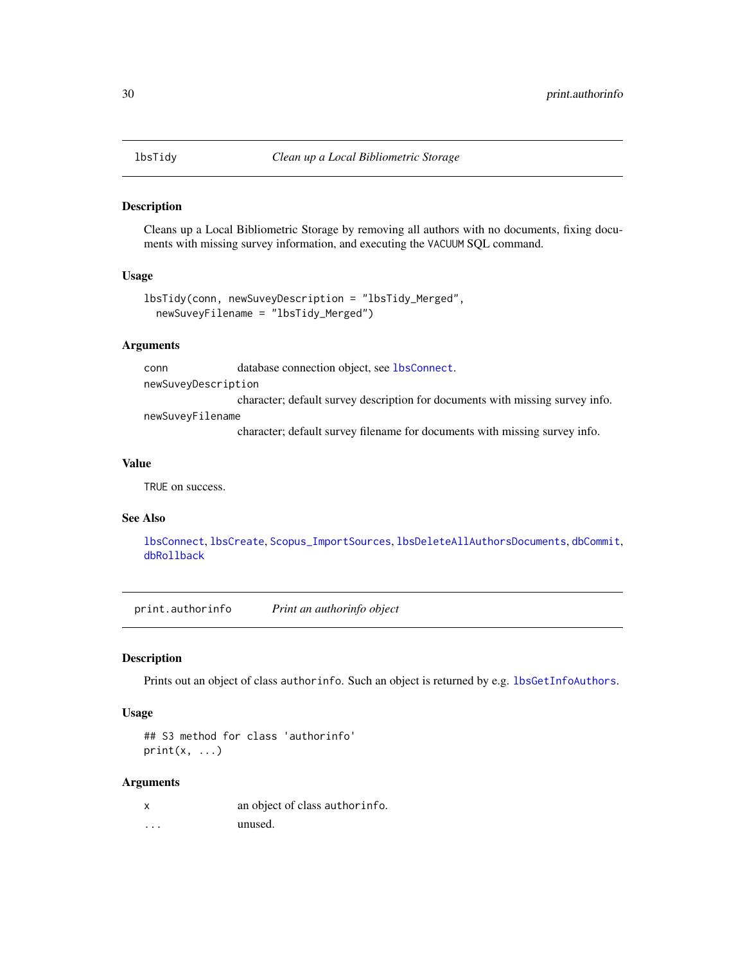<span id="page-29-2"></span><span id="page-29-0"></span>

# Description

Cleans up a Local Bibliometric Storage by removing all authors with no documents, fixing documents with missing survey information, and executing the VACUUM SQL command.

#### Usage

```
lbsTidy(conn, newSuveyDescription = "lbsTidy_Merged",
 newSuveyFilename = "lbsTidy_Merged")
```
# Arguments

conn database connection object, see [lbsConnect](#page-9-1). newSuveyDescription character; default survey description for documents with missing survey info. newSuveyFilename

character; default survey filename for documents with missing survey info.

#### Value

TRUE on success.

# See Also

[lbsConnect](#page-9-1), [lbsCreate](#page-10-1), [Scopus\\_ImportSources](#page-31-1), [lbsDeleteAllAuthorsDocuments](#page-13-1), [dbCommit](#page-0-0), [dbRollback](#page-0-0)

<span id="page-29-1"></span>print.authorinfo *Print an authorinfo object*

#### Description

Prints out an object of class authorinfo. Such an object is returned by e.g. [lbsGetInfoAuthors](#page-21-1).

#### Usage

```
## S3 method for class 'authorinfo'
print(x, \ldots)
```
#### Arguments

| x        | an object of class authorinfo. |
|----------|--------------------------------|
| $\cdots$ | unused.                        |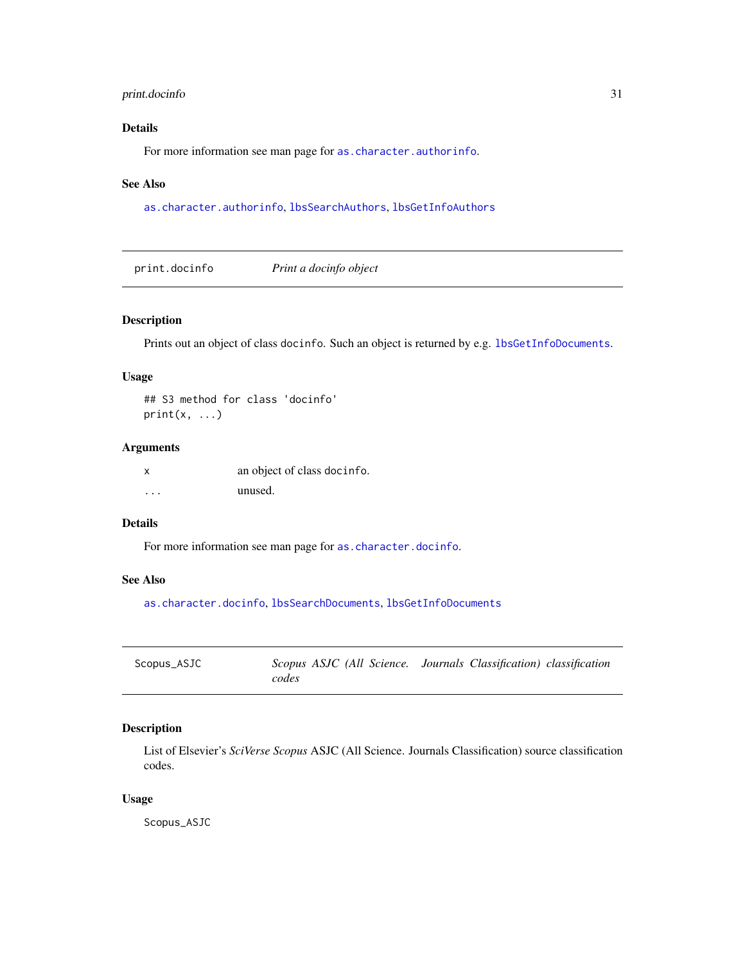# <span id="page-30-0"></span>print.docinfo 31

# Details

For more information see man page for [as.character.authorinfo](#page-4-1).

# See Also

[as.character.authorinfo](#page-4-1), [lbsSearchAuthors](#page-26-1), [lbsGetInfoAuthors](#page-21-1)

<span id="page-30-2"></span>print.docinfo *Print a docinfo object*

# Description

Prints out an object of class docinfo. Such an object is returned by e.g. [lbsGetInfoDocuments](#page-22-1).

# Usage

## S3 method for class 'docinfo'  $print(x, \ldots)$ 

# Arguments

| x        | an object of class docinfo. |
|----------|-----------------------------|
| $\cdots$ | unused.                     |

#### Details

For more information see man page for [as.character.docinfo](#page-5-1).

# See Also

[as.character.docinfo](#page-5-1), [lbsSearchDocuments](#page-27-1), [lbsGetInfoDocuments](#page-22-1)

<span id="page-30-1"></span>

| Scopus_ASJC |       | Scopus ASJC (All Science. Journals Classification) classification |
|-------------|-------|-------------------------------------------------------------------|
|             | codes |                                                                   |

# Description

List of Elsevier's *SciVerse Scopus* ASJC (All Science. Journals Classification) source classification codes.

#### Usage

Scopus\_ASJC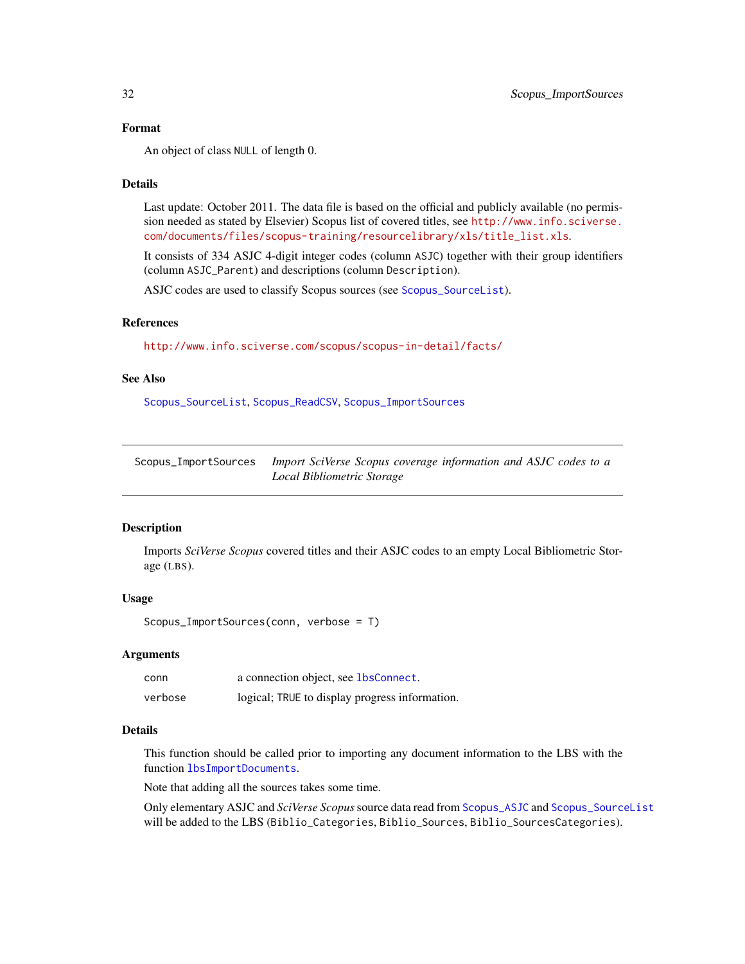#### <span id="page-31-0"></span>Format

An object of class NULL of length 0.

#### Details

Last update: October 2011. The data file is based on the official and publicly available (no permission needed as stated by Elsevier) Scopus list of covered titles, see [http://www.info.sciverse.](http://www.info.sciverse.com/documents/files/scopus-training/resourcelibrary/xls/title_list.xls) [com/documents/files/scopus-training/resourcelibrary/xls/title\\_list.xls](http://www.info.sciverse.com/documents/files/scopus-training/resourcelibrary/xls/title_list.xls).

It consists of 334 ASJC 4-digit integer codes (column ASJC) together with their group identifiers (column ASJC\_Parent) and descriptions (column Description).

ASJC codes are used to classify Scopus sources (see [Scopus\\_SourceList](#page-34-1)).

# References

<http://www.info.sciverse.com/scopus/scopus-in-detail/facts/>

#### See Also

[Scopus\\_SourceList](#page-34-1), [Scopus\\_ReadCSV](#page-32-1), [Scopus\\_ImportSources](#page-31-1)

<span id="page-31-1"></span>Scopus\_ImportSources *Import SciVerse Scopus coverage information and ASJC codes to a Local Bibliometric Storage*

# Description

Imports *SciVerse Scopus* covered titles and their ASJC codes to an empty Local Bibliometric Storage (LBS).

#### Usage

Scopus\_ImportSources(conn, verbose = T)

#### Arguments

| conn    | a connection object, see lbsConnect.           |
|---------|------------------------------------------------|
| verbose | logical; TRUE to display progress information. |

# Details

This function should be called prior to importing any document information to the LBS with the function [lbsImportDocuments](#page-23-1).

Note that adding all the sources takes some time.

Only elementary ASJC and *SciVerse Scopus*source data read from [Scopus\\_ASJC](#page-30-1) and [Scopus\\_SourceList](#page-34-1) will be added to the LBS (Biblio\_Categories, Biblio\_Sources, Biblio\_SourcesCategories).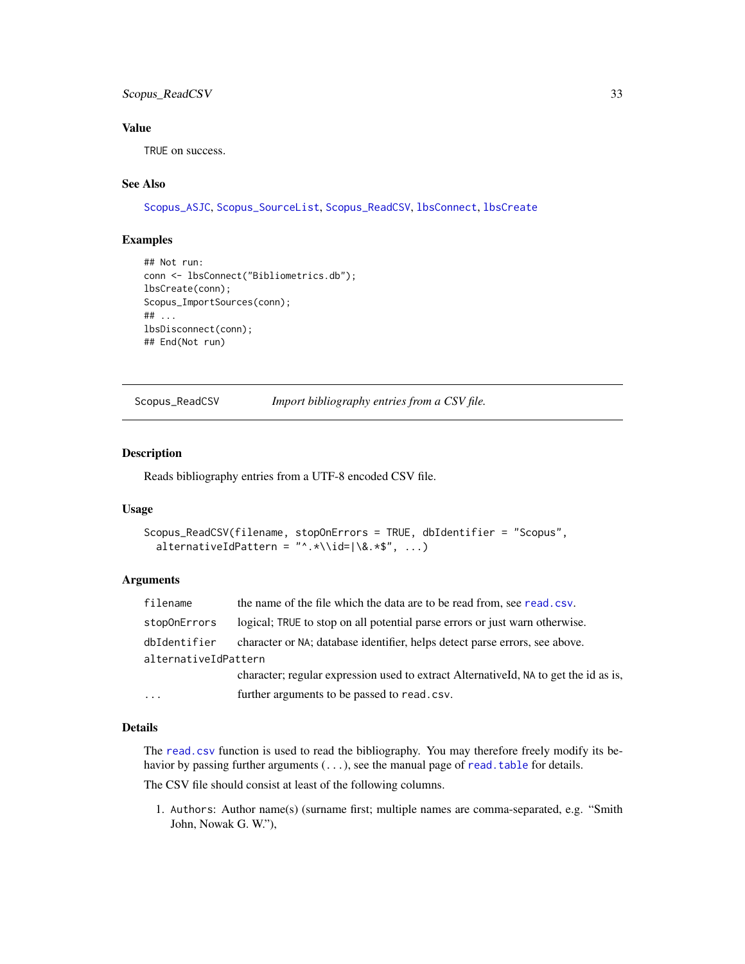# <span id="page-32-0"></span>Scopus\_ReadCSV 33

# Value

TRUE on success.

# See Also

[Scopus\\_ASJC](#page-30-1), [Scopus\\_SourceList](#page-34-1), [Scopus\\_ReadCSV](#page-32-1), [lbsConnect](#page-9-1), [lbsCreate](#page-10-1)

# Examples

```
## Not run:
conn <- lbsConnect("Bibliometrics.db");
lbsCreate(conn);
Scopus_ImportSources(conn);
## ...
lbsDisconnect(conn);
## End(Not run)
```
<span id="page-32-1"></span>Scopus\_ReadCSV *Import bibliography entries from a CSV file.*

#### Description

Reads bibliography entries from a UTF-8 encoded CSV file.

#### Usage

```
Scopus_ReadCSV(filename, stopOnErrors = TRUE, dbIdentifier = "Scopus",
  alternativeIdPattern = "^.*\\id=|\&.*", ...)
```
#### Arguments

| filename             | the name of the file which the data are to be read from, see read, csv.              |
|----------------------|--------------------------------------------------------------------------------------|
| stop0nErrors         | logical; TRUE to stop on all potential parse errors or just warn otherwise.          |
| dbIdentifier         | character or NA; database identifier, helps detect parse errors, see above.          |
| alternativeIdPattern |                                                                                      |
|                      | character; regular expression used to extract AlternativeId, NA to get the id as is, |
| $\ddotsc$            | further arguments to be passed to read.csv.                                          |

# Details

The [read.csv](#page-0-0) function is used to read the bibliography. You may therefore freely modify its behavior by passing further arguments  $(\ldots)$ , see the manual page of read. table for details.

The CSV file should consist at least of the following columns.

1. Authors: Author name(s) (surname first; multiple names are comma-separated, e.g. "Smith John, Nowak G. W."),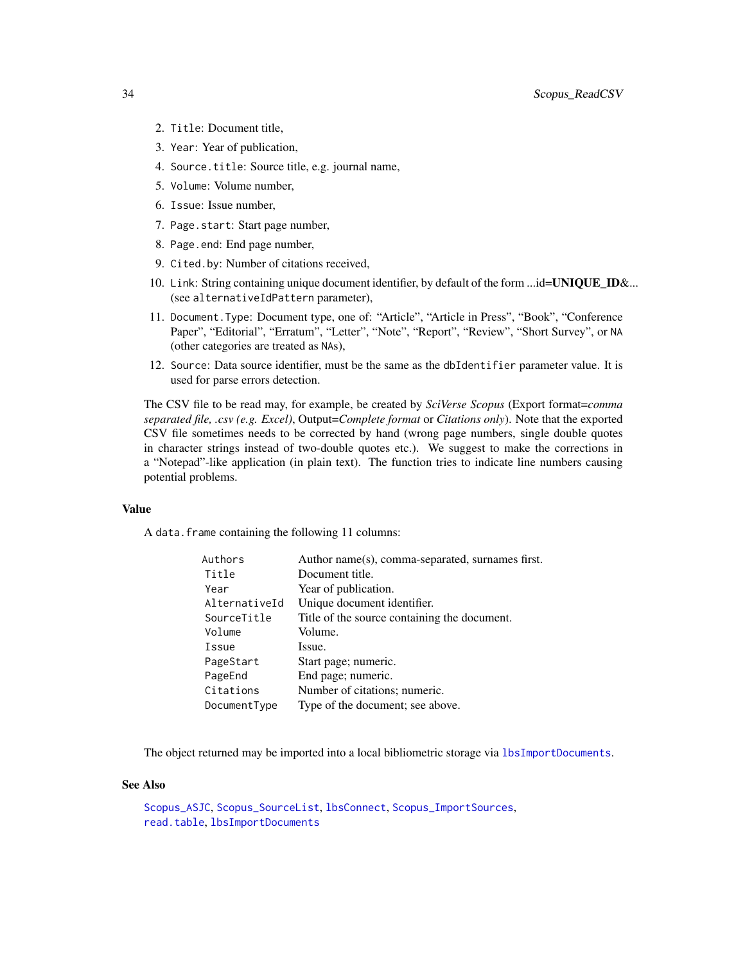- <span id="page-33-0"></span>2. Title: Document title,
- 3. Year: Year of publication,
- 4. Source.title: Source title, e.g. journal name,
- 5. Volume: Volume number,
- 6. Issue: Issue number,
- 7. Page.start: Start page number,
- 8. Page.end: End page number,
- 9. Cited.by: Number of citations received,
- 10. Link: String containing unique document identifier, by default of the form ...id=UNIQUE ID&... (see alternativeIdPattern parameter),
- 11. Document.Type: Document type, one of: "Article", "Article in Press", "Book", "Conference Paper", "Editorial", "Erratum", "Letter", "Note", "Report", "Review", "Short Survey", or NA (other categories are treated as NAs),
- 12. Source: Data source identifier, must be the same as the dbIdentifier parameter value. It is used for parse errors detection.

The CSV file to be read may, for example, be created by *SciVerse Scopus* (Export format=*comma separated file, .csv (e.g. Excel)*, Output=*Complete format* or *Citations only*). Note that the exported CSV file sometimes needs to be corrected by hand (wrong page numbers, single double quotes in character strings instead of two-double quotes etc.). We suggest to make the corrections in a "Notepad"-like application (in plain text). The function tries to indicate line numbers causing potential problems.

# Value

A data.frame containing the following 11 columns:

| Authors       | Author name(s), comma-separated, surnames first. |
|---------------|--------------------------------------------------|
| Title         | Document title.                                  |
| Year          | Year of publication.                             |
| AlternativeId | Unique document identifier.                      |
| SourceTitle   | Title of the source containing the document.     |
| Volume        | Volume.                                          |
| Issue         | Issue.                                           |
| PageStart     | Start page; numeric.                             |
| PageEnd       | End page; numeric.                               |
| Citations     | Number of citations; numeric.                    |
| DocumentType  | Type of the document; see above.                 |
|               |                                                  |

The object returned may be imported into a local bibliometric storage via [lbsImportDocuments](#page-23-1).

#### See Also

[Scopus\\_ASJC](#page-30-1), [Scopus\\_SourceList](#page-34-1), [lbsConnect](#page-9-1), [Scopus\\_ImportSources](#page-31-1), [read.table](#page-0-0), [lbsImportDocuments](#page-23-1)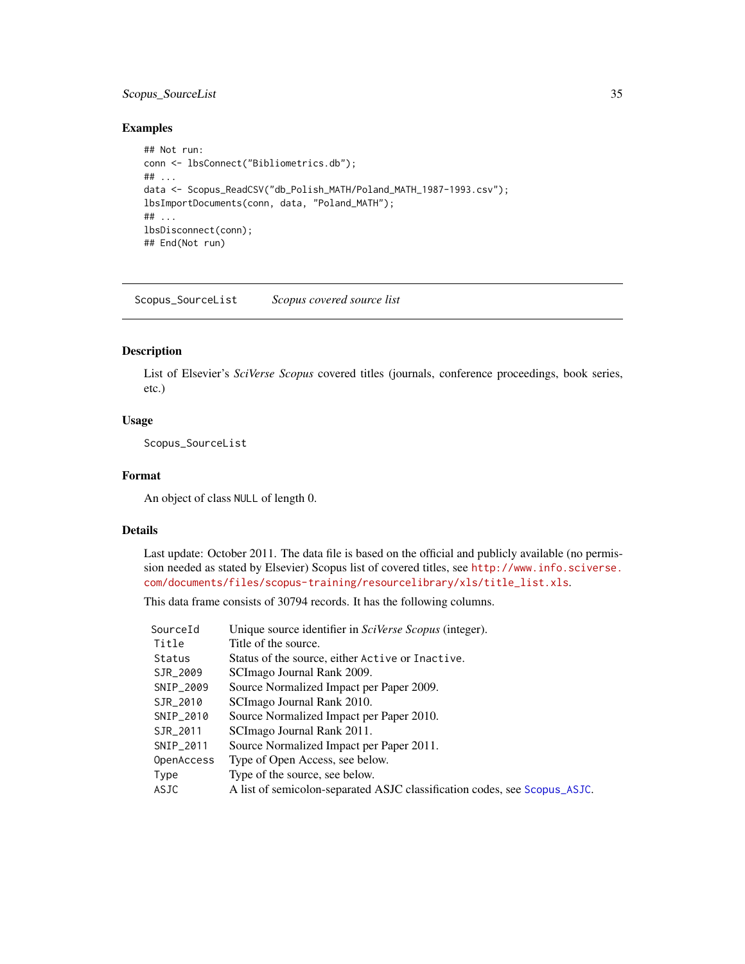# <span id="page-34-0"></span>Scopus\_SourceList 35

# Examples

```
## Not run:
conn <- lbsConnect("Bibliometrics.db");
## ...
data <- Scopus_ReadCSV("db_Polish_MATH/Poland_MATH_1987-1993.csv");
lbsImportDocuments(conn, data, "Poland_MATH");
## ...
lbsDisconnect(conn);
## End(Not run)
```
<span id="page-34-1"></span>Scopus\_SourceList *Scopus covered source list*

#### Description

List of Elsevier's *SciVerse Scopus* covered titles (journals, conference proceedings, book series, etc.)

# Usage

Scopus\_SourceList

# Format

An object of class NULL of length 0.

#### Details

Last update: October 2011. The data file is based on the official and publicly available (no permission needed as stated by Elsevier) Scopus list of covered titles, see [http://www.info.sciverse.](http://www.info.sciverse.com/documents/files/scopus-training/resourcelibrary/xls/title_list.xls) [com/documents/files/scopus-training/resourcelibrary/xls/title\\_list.xls](http://www.info.sciverse.com/documents/files/scopus-training/resourcelibrary/xls/title_list.xls).

This data frame consists of 30794 records. It has the following columns.

| SourceId   | Unique source identifier in SciVerse Scopus (integer).                    |
|------------|---------------------------------------------------------------------------|
| Title      | Title of the source.                                                      |
| Status     | Status of the source, either Active or Inactive.                          |
| SJR_2009   | SCI mago Journal Rank 2009.                                               |
| SNIP_2009  | Source Normalized Impact per Paper 2009.                                  |
| SJR_2010   | SCI mago Journal Rank 2010.                                               |
| SNIP_2010  | Source Normalized Impact per Paper 2010.                                  |
| SJR_2011   | SCImago Journal Rank 2011.                                                |
| SNIP_2011  | Source Normalized Impact per Paper 2011.                                  |
| OpenAccess | Type of Open Access, see below.                                           |
| Type       | Type of the source, see below.                                            |
| ASJC       | A list of semicolon-separated ASJC classification codes, see Scopus_ASJC. |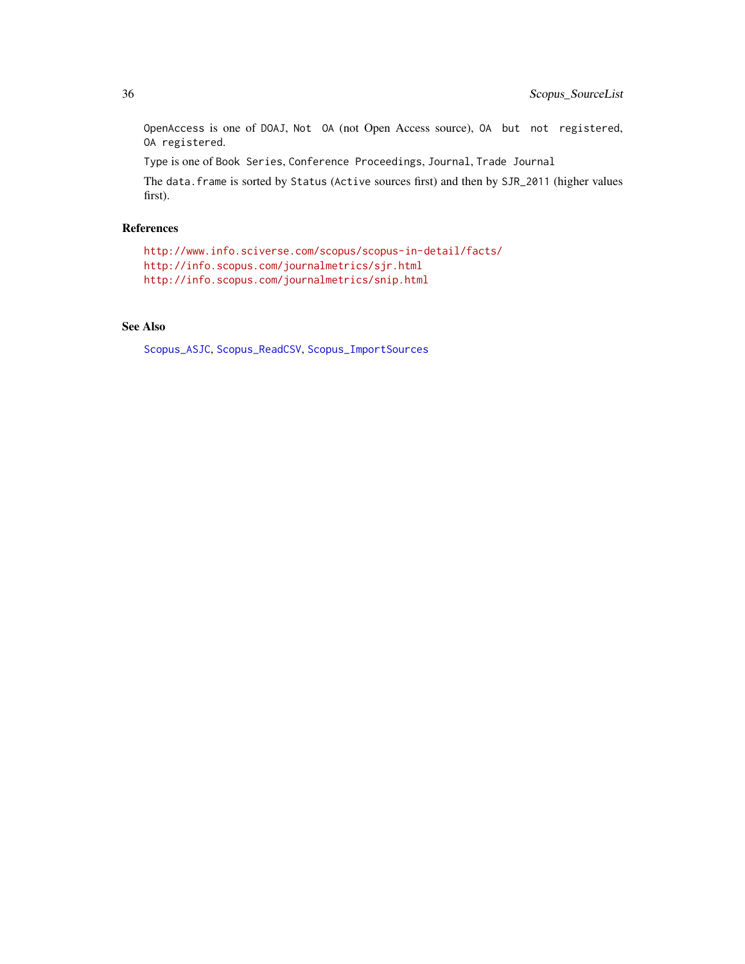OpenAccess is one of DOAJ, Not OA (not Open Access source), OA but not registered, OA registered.

Type is one of Book Series, Conference Proceedings, Journal, Trade Journal

The data. frame is sorted by Status (Active sources first) and then by SJR\_2011 (higher values first).

# References

```
http://www.info.sciverse.com/scopus/scopus-in-detail/facts/
http://info.scopus.com/journalmetrics/sjr.html
http://info.scopus.com/journalmetrics/snip.html
```
# See Also

[Scopus\\_ASJC](#page-30-1), [Scopus\\_ReadCSV](#page-32-1), [Scopus\\_ImportSources](#page-31-1)

<span id="page-35-0"></span>